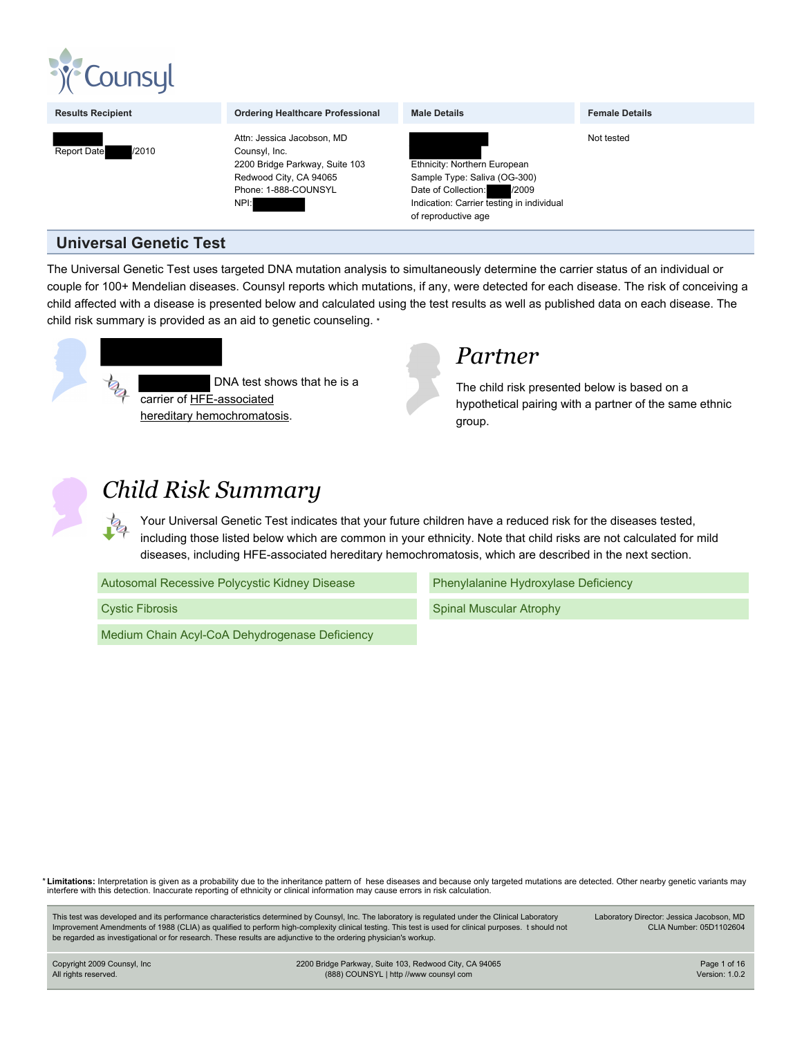

**Results Recipient Construction Condering Healthcare Professional Details Female Details Female Details Female Details Female Details Female Details Female Details Female Details Female Details Female D** 



Attn: Jessica Jacobson, MD Counsyl, Inc. 2200 Bridge Parkway, Suite 103 Redwood City, CA 94065 Phone: 1-888-COUNSYL NPI:

| <b>Male Details</b>                                                                                                                                              | <b>Female Details</b> |
|------------------------------------------------------------------------------------------------------------------------------------------------------------------|-----------------------|
|                                                                                                                                                                  | Not tested            |
| Ethnicity: Northern European<br>Sample Type: Saliva (OG-300)<br>/2009<br>Date of Collection:<br>Indication: Carrier testing in individual<br>of reproductive age |                       |

### **Universal Genetic Test**

The Universal Genetic Test uses targeted DNA mutation analysis to simultaneously determine the carrier status of an individual or couple for 100+ Mendelian diseases. Counsyl reports which mutations, if any, were detected for each disease. The risk of conceiving a child affected with a disease is presented below and calculated using the test results as well as published data on each disease. The child risk summary is provided as an aid to genetic counseling. \*



## *Partner*

The child risk presented below is based on a hypothetical pairing with a partner of the same ethnic group.



# *Child Risk Summary*

Your Universal Genetic Test indicates that your future children have a reduced risk for the diseases tested, including those listed below which are common in your ethnicity. Note that child risks are not calculated for mild diseases, including HFE-associated hereditary hemochromatosis, which are described in the next section.

| Autosomal Recessive Polycystic Kidney Disease |  |
|-----------------------------------------------|--|
| <b>Cystic Fibrosis</b>                        |  |

Medium Chain Acyl-CoA Dehydrogenase Deficiency

Phenylalanine Hydroxylase Deficiency Spinal Muscular Atrophy

\* **Limitations:** Interpretation is given as a probability due to the inheritance pattern of hese diseases and because only targeted mutations are detected. Other nearby genetic variants may interfere with this detection. Inaccurate reporting of ethnicity or clinical information may cause errors in risk calculation.

This test was developed and its performance characteristics determined by Counsyl, Inc. The laboratory is regulated under the Clinical Laboratory Improvement Amendments of 1988 (CLIA) as qualified to perform high-complexity clinical testing. This test is used for clinical purposes. t should not be regarded as investigational or for research. These results are adjunctive to the ordering physician's workup.

Laboratory Director: Jessica Jacobson, MD CLIA Number: 05D1102604

Copyright 2009 Counsyl, Inc All rights reserved.

2200 Bridge Parkway, Suite 103, Redwood City, CA 94065 (888) COUNSYL | http //www counsyl com

Page 1 of 16 Version: 1.0.2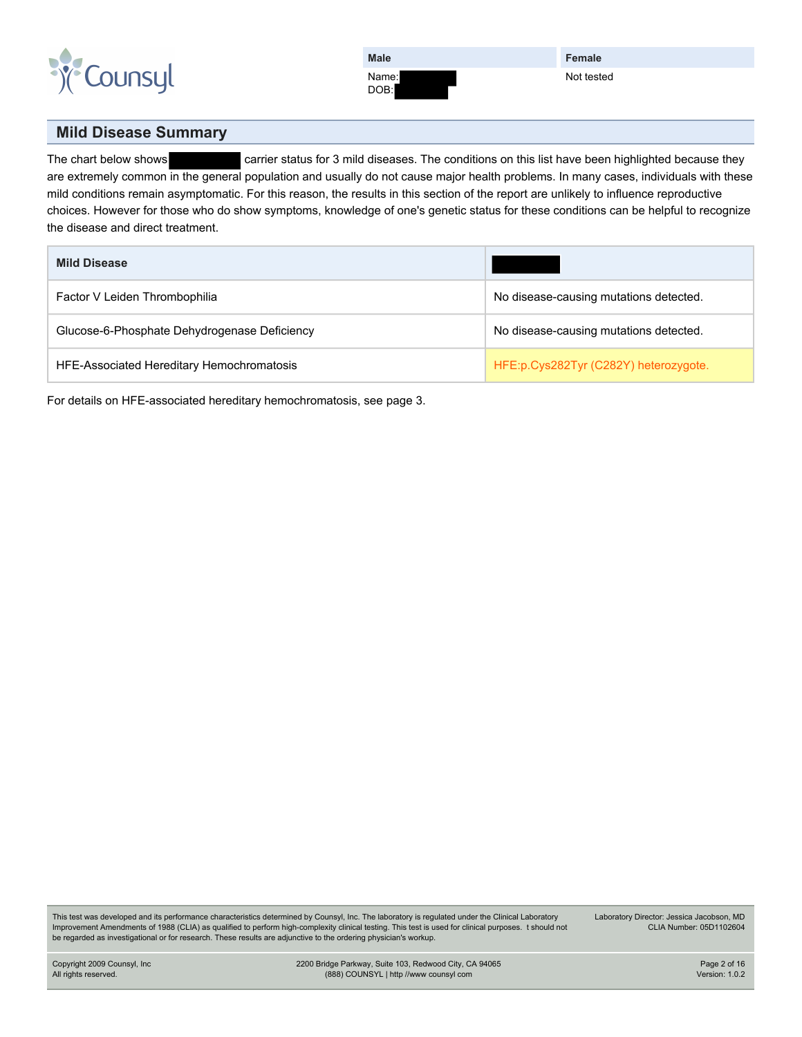

DOB:

**Female** Not tested

#### **Mild Disease Summary**

The chart below shows carrier status for 3 mild diseases. The conditions on this list have been highlighted because they are extremely common in the general population and usually do not cause major health problems. In many cases, individuals with these mild conditions remain asymptomatic. For this reason, the results in this section of the report are unlikely to influence reproductive choices. However for those who do show symptoms, knowledge of one's genetic status for these conditions can be helpful to recognize the disease and direct treatment.

| <b>Mild Disease</b>                          |                                        |
|----------------------------------------------|----------------------------------------|
| Factor V Leiden Thrombophilia                | No disease-causing mutations detected. |
| Glucose-6-Phosphate Dehydrogenase Deficiency | No disease-causing mutations detected. |
| HFE-Associated Hereditary Hemochromatosis    | HFE:p.Cys282Tyr (C282Y) heterozygote.  |

For details on HFE-associated hereditary hemochromatosis, see [page 3.](#page-2-0)

This test was developed and its performance characteristics determined by Counsyl, Inc. The laboratory is regulated under the Clinical Laboratory Improvement Amendments of 1988 (CLIA) as qualified to perform high-complexity clinical testing. This test is used for clinical purposes. t should not be regarded as investigational or for research. These results are adjunctive to the ordering physician's workup.

Laboratory Director: Jessica Jacobson, MD CLIA Number: 05D1102604

Copyright 2009 Counsyl, Inc All rights reserved.

2200 Bridge Parkway, Suite 103, Redwood City, CA 94065 (888) COUNSYL | http //www counsyl com

Page 2 of 16 Version: 1.0.2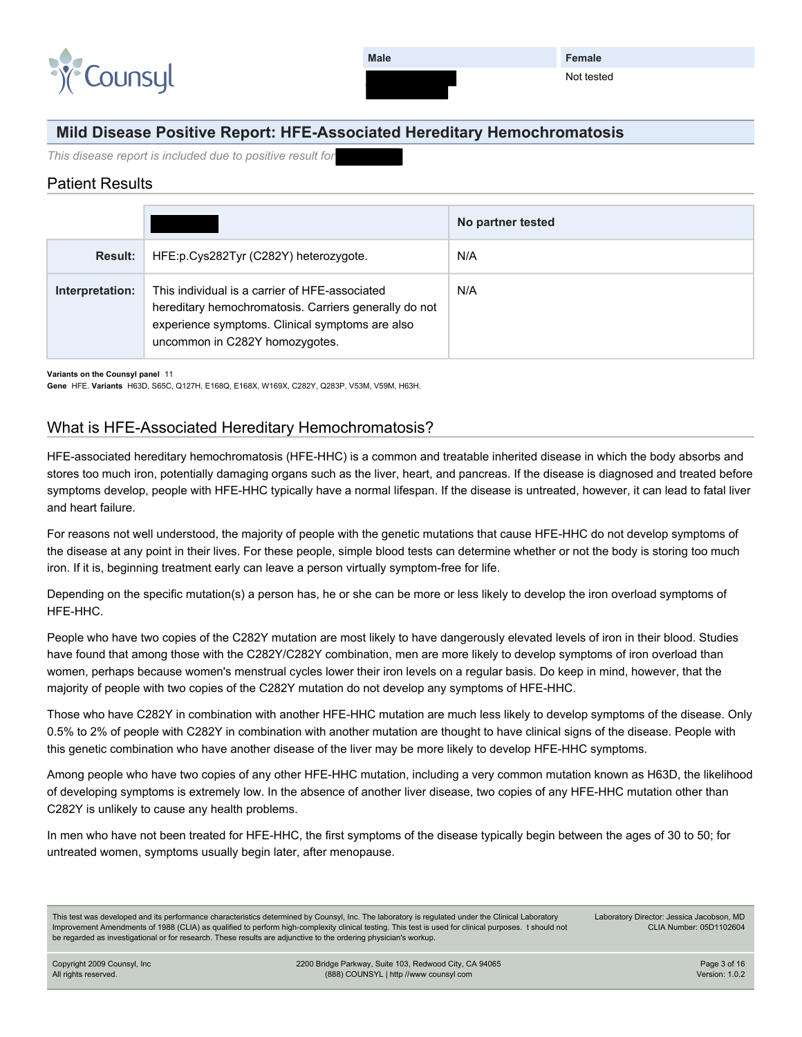

**Female** Not tested

#### <span id="page-2-0"></span>**Mild Disease Positive Report: HFE-Associated Hereditary Hemochromatosis**

*This disease report is included due to positive result for* 

#### Patient Results

|                 |                                                                                                                                                                                              | No partner tested |
|-----------------|----------------------------------------------------------------------------------------------------------------------------------------------------------------------------------------------|-------------------|
| <b>Result:</b>  | HFE:p.Cys282Tyr (C282Y) heterozygote.                                                                                                                                                        | N/A               |
| Interpretation: | This individual is a carrier of HFE-associated<br>hereditary hemochromatosis. Carriers generally do not<br>experience symptoms. Clinical symptoms are also<br>uncommon in C282Y homozygotes. | N/A               |

**Variants on the Counsyl panel** 11

**Gene** HFE. **Variants** H63D, S65C, Q127H, E168Q, E168X, W169X, C282Y, Q283P, V53M, V59M, H63H.

#### What is HFE-Associated Hereditary Hemochromatosis?

HFE-associated hereditary hemochromatosis (HFE-HHC) is a common and treatable inherited disease in which the body absorbs and stores too much iron, potentially damaging organs such as the liver, heart, and pancreas. If the disease is diagnosed and treated before symptoms develop, people with HFE-HHC typically have a normal lifespan. If the disease is untreated, however, it can lead to fatal liver and heart failure.

For reasons not well understood, the majority of people with the genetic mutations that cause HFE-HHC do not develop symptoms of the disease at any point in their lives. For these people, simple blood tests can determine whether or not the body is storing too much iron. If it is, beginning treatment early can leave a person virtually symptom-free for life.

Depending on the specific mutation(s) a person has, he or she can be more or less likely to develop the iron overload symptoms of HFE-HHC.

People who have two copies of the C282Y mutation are most likely to have dangerously elevated levels of iron in their blood. Studies have found that among those with the C282Y/C282Y combination, men are more likely to develop symptoms of iron overload than women, perhaps because women's menstrual cycles lower their iron levels on a regular basis. Do keep in mind, however, that the majority of people with two copies of the C282Y mutation do not develop any symptoms of HFE-HHC.

Those who have C282Y in combination with another HFE-HHC mutation are much less likely to develop symptoms of the disease. Only 0.5% to 2% of people with C282Y in combination with another mutation are thought to have clinical signs of the disease. People with this genetic combination who have another disease of the liver may be more likely to develop HFE-HHC symptoms.

Among people who have two copies of any other HFE-HHC mutation, including a very common mutation known as H63D, the likelihood of developing symptoms is extremely low. In the absence of another liver disease, two copies of any HFE-HHC mutation other than C282Y is unlikely to cause any health problems.

In men who have not been treated for HFE-HHC, the first symptoms of the disease typically begin between the ages of 30 to 50; for untreated women, symptoms usually begin later, after menopause.

This test was developed and its performance characteristics determined by Counsyl, Inc. The laboratory is regulated under the Clinical Laboratory Improvement Amendments of 1988 (CLIA) as qualified to perform high-complexity clinical testing. This test is used for clinical purposes. t should not be regarded as investigational or for research. These results are adjunctive to the ordering physician's workup.

Laboratory Director: Jessica Jacobson, MD CLIA Number: 05D1102604

Copyright 2009 Counsyl, Inc All rights reserved.

2200 Bridge Parkway, Suite 103, Redwood City, CA 94065 (888) COUNSYL | http //www counsyl com

Page 3 of 16 Version: 1.0.2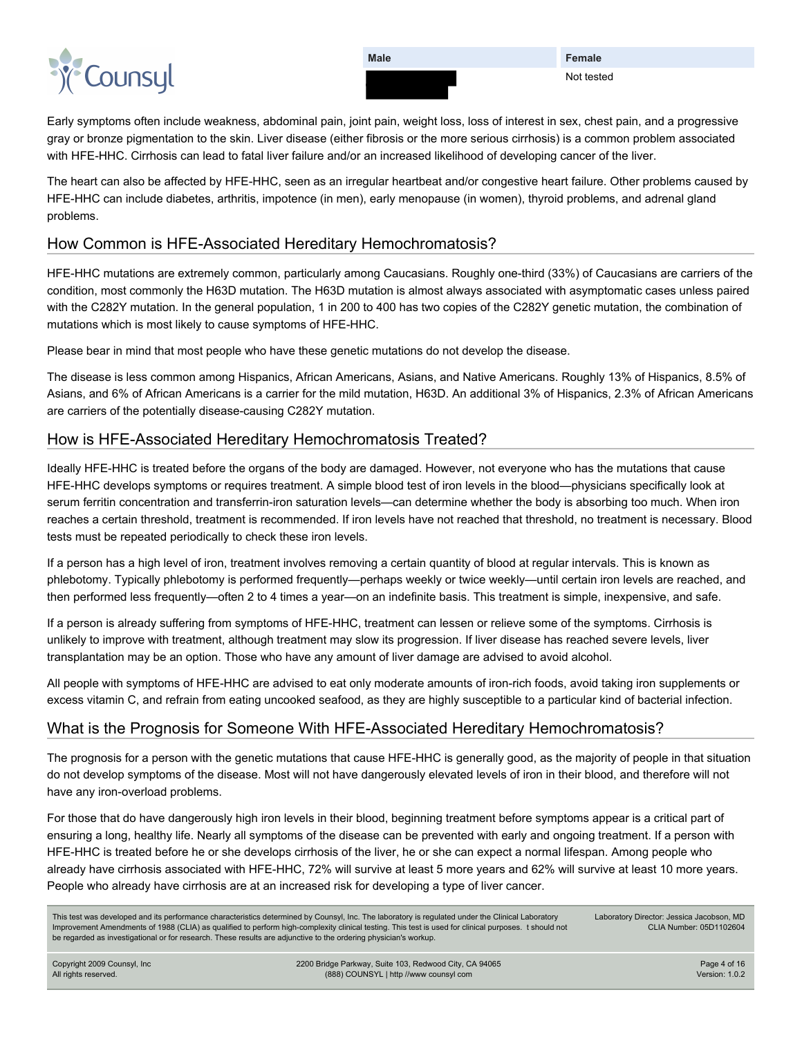

**Female** Not tested

Early symptoms often include weakness, abdominal pain, joint pain, weight loss, loss of interest in sex, chest pain, and a progressive gray or bronze pigmentation to the skin. Liver disease (either fibrosis or the more serious cirrhosis) is a common problem associated with HFE-HHC. Cirrhosis can lead to fatal liver failure and/or an increased likelihood of developing cancer of the liver.

The heart can also be affected by HFE-HHC, seen as an irregular heartbeat and/or congestive heart failure. Other problems caused by HFE-HHC can include diabetes, arthritis, impotence (in men), early menopause (in women), thyroid problems, and adrenal gland problems.

#### How Common is HFE-Associated Hereditary Hemochromatosis?

HFE-HHC mutations are extremely common, particularly among Caucasians. Roughly one-third (33%) of Caucasians are carriers of the condition, most commonly the H63D mutation. The H63D mutation is almost always associated with asymptomatic cases unless paired with the C282Y mutation. In the general population, 1 in 200 to 400 has two copies of the C282Y genetic mutation, the combination of mutations which is most likely to cause symptoms of HFE-HHC.

Please bear in mind that most people who have these genetic mutations do not develop the disease.

The disease is less common among Hispanics, African Americans, Asians, and Native Americans. Roughly 13% of Hispanics, 8.5% of Asians, and 6% of African Americans is a carrier for the mild mutation, H63D. An additional 3% of Hispanics, 2.3% of African Americans are carriers of the potentially disease-causing C282Y mutation.

#### How is HFE-Associated Hereditary Hemochromatosis Treated?

Ideally HFE-HHC is treated before the organs of the body are damaged. However, not everyone who has the mutations that cause HFE-HHC develops symptoms or requires treatment. A simple blood test of iron levels in the blood—physicians specifically look at serum ferritin concentration and transferrin-iron saturation levels—can determine whether the body is absorbing too much. When iron reaches a certain threshold, treatment is recommended. If iron levels have not reached that threshold, no treatment is necessary. Blood tests must be repeated periodically to check these iron levels.

If a person has a high level of iron, treatment involves removing a certain quantity of blood at regular intervals. This is known as phlebotomy. Typically phlebotomy is performed frequently—perhaps weekly or twice weekly—until certain iron levels are reached, and then performed less frequently—often 2 to 4 times a year—on an indefinite basis. This treatment is simple, inexpensive, and safe.

If a person is already suffering from symptoms of HFE-HHC, treatment can lessen or relieve some of the symptoms. Cirrhosis is unlikely to improve with treatment, although treatment may slow its progression. If liver disease has reached severe levels, liver transplantation may be an option. Those who have any amount of liver damage are advised to avoid alcohol.

All people with symptoms of HFE-HHC are advised to eat only moderate amounts of iron-rich foods, avoid taking iron supplements or excess vitamin C, and refrain from eating uncooked seafood, as they are highly susceptible to a particular kind of bacterial infection.

#### What is the Prognosis for Someone With HFE-Associated Hereditary Hemochromatosis?

The prognosis for a person with the genetic mutations that cause HFE-HHC is generally good, as the majority of people in that situation do not develop symptoms of the disease. Most will not have dangerously elevated levels of iron in their blood, and therefore will not have any iron-overload problems.

For those that do have dangerously high iron levels in their blood, beginning treatment before symptoms appear is a critical part of ensuring a long, healthy life. Nearly all symptoms of the disease can be prevented with early and ongoing treatment. If a person with HFE-HHC is treated before he or she develops cirrhosis of the liver, he or she can expect a normal lifespan. Among people who already have cirrhosis associated with HFE-HHC, 72% will survive at least 5 more years and 62% will survive at least 10 more years. People who already have cirrhosis are at an increased risk for developing a type of liver cancer.

| This test was developed and its performance characteristics determined by Counsyl, Inc. The laboratory is regulated under the Clinical Laboratory     |
|-------------------------------------------------------------------------------------------------------------------------------------------------------|
| Improvement Amendments of 1988 (CLIA) as qualified to perform high-complexity clinical testing. This test is used for clinical purposes. t should not |
| be regarded as investigational or for research. These results are adjunctive to the ordering physician's workup.                                      |

Laboratory Director: Jessica Jacobson, MD CLIA Number: 05D1102604

Copyright 2009 Counsyl, Inc All rights reserved.

2200 Bridge Parkway, Suite 103, Redwood City, CA 94065 (888) COUNSYL | http //www counsyl com

Page 4 of 16 Version: 1.0.2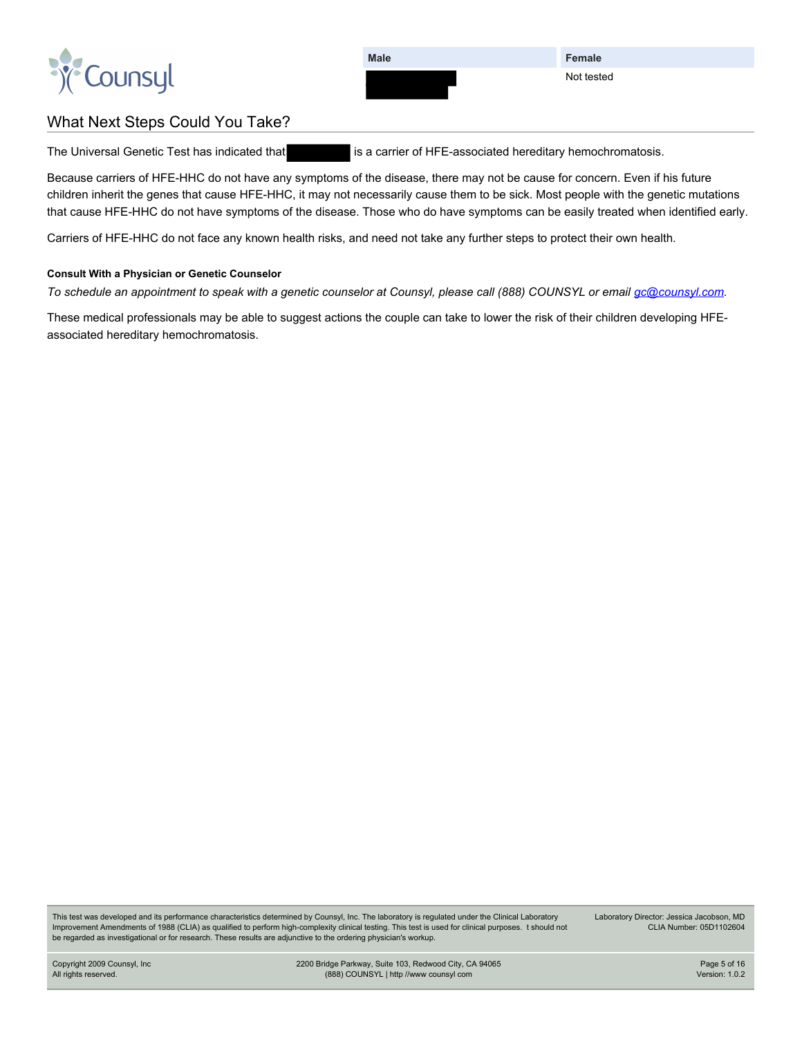

**Female** Not tested

### What Next Steps Could You Take?

The Universal Genetic Test has indicated that is a carrier of HFE-associated hereditary hemochromatosis.

Because carriers of HFE-HHC do not have any symptoms of the disease, there may not be cause for concern. Even if his future children inherit the genes that cause HFE-HHC, it may not necessarily cause them to be sick. Most people with the genetic mutations that cause HFE-HHC do not have symptoms of the disease. Those who do have symptoms can be easily treated when identified early.

Carriers of HFE-HHC do not face any known health risks, and need not take any further steps to protect their own health.

#### **Consult With a Physician or Genetic Counselor**

*To schedule an appointment to speak with a genetic counselor at Counsyl, please call (888) COUNSYL or email [gc@counsyl.com.](mailto:gc@counsyl.com)*

These medical professionals may be able to suggest actions the couple can take to lower the risk of their children developing HFEassociated hereditary hemochromatosis.

This test was developed and its performance characteristics determined by Counsyl, Inc. The laboratory is regulated under the Clinical Laboratory Improvement Amendments of 1988 (CLIA) as qualified to perform high-complexity clinical testing. This test is used for clinical purposes. t should not be regarded as investigational or for research. These results are adjunctive to the ordering physician's workup.

Laboratory Director: Jessica Jacobson, MD CLIA Number: 05D1102604

Copyright 2009 Counsyl, Inc All rights reserved.

2200 Bridge Parkway, Suite 103, Redwood City, CA 94065 (888) COUNSYL | http //www counsyl com

Page 5 of 16 Version: 1.0.2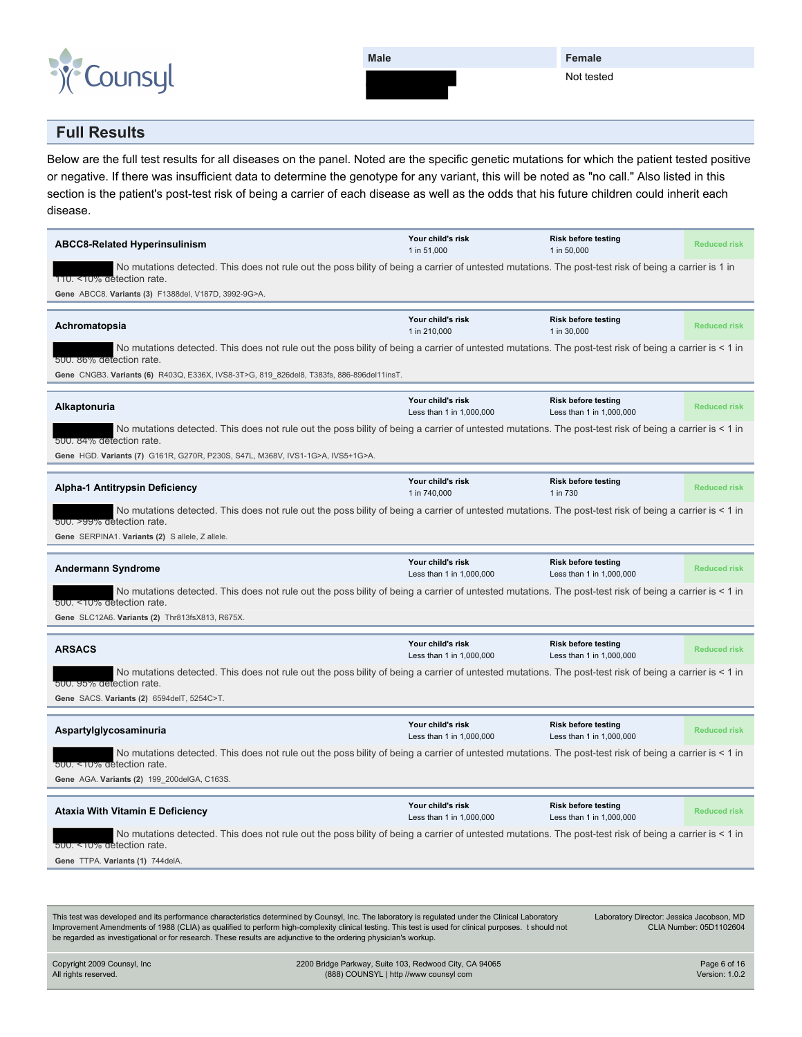

**Female** Not tested

#### **Full Results**

Below are the full test results for all diseases on the panel. Noted are the specific genetic mutations for which the patient tested positive or negative. If there was insufficient data to determine the genotype for any variant, this will be noted as "no call." Also listed in this section is the patient's post-test risk of being a carrier of each disease as well as the odds that his future children could inherit each disease.

| <b>ABCC8-Related Hyperinsulinism</b>                                                                                                                                                                                                                                                                                                                                                                                           | Your child's risk<br>1 in 51,000              | Risk before testing<br>1 in 50,000                     | <b>Reduced risk</b>     |
|--------------------------------------------------------------------------------------------------------------------------------------------------------------------------------------------------------------------------------------------------------------------------------------------------------------------------------------------------------------------------------------------------------------------------------|-----------------------------------------------|--------------------------------------------------------|-------------------------|
| No mutations detected. This does not rule out the poss bility of being a carrier of untested mutations. The post-test risk of being a carrier is 1 in<br>110. <10% detection rate.                                                                                                                                                                                                                                             |                                               |                                                        |                         |
| Gene ABCC8. Variants (3) F1388del, V187D, 3992-9G>A.                                                                                                                                                                                                                                                                                                                                                                           |                                               |                                                        |                         |
|                                                                                                                                                                                                                                                                                                                                                                                                                                |                                               |                                                        |                         |
| Achromatopsia                                                                                                                                                                                                                                                                                                                                                                                                                  | Your child's risk<br>1 in 210,000             | <b>Risk before testing</b><br>1 in 30,000              | <b>Reduced risk</b>     |
| No mutations detected. This does not rule out the poss bility of being a carrier of untested mutations. The post-test risk of being a carrier is < 1 in<br>500. 86% detection rate.                                                                                                                                                                                                                                            |                                               |                                                        |                         |
| Gene CNGB3. Variants (6) R403Q, E336X, IVS8-3T>G, 819_826del8, T383fs, 886-896del11insT.                                                                                                                                                                                                                                                                                                                                       |                                               |                                                        |                         |
|                                                                                                                                                                                                                                                                                                                                                                                                                                |                                               |                                                        |                         |
| <b>Alkaptonuria</b>                                                                                                                                                                                                                                                                                                                                                                                                            | Your child's risk<br>Less than 1 in 1,000,000 | <b>Risk before testing</b><br>Less than 1 in 1,000,000 | <b>Reduced risk</b>     |
| No mutations detected. This does not rule out the poss bility of being a carrier of untested mutations. The post-test risk of being a carrier is < 1 in<br>500. 84% detection rate.                                                                                                                                                                                                                                            |                                               |                                                        |                         |
| Gene HGD. Variants (7) G161R, G270R, P230S, S47L, M368V, IVS1-1G>A, IVS5+1G>A.                                                                                                                                                                                                                                                                                                                                                 |                                               |                                                        |                         |
|                                                                                                                                                                                                                                                                                                                                                                                                                                | Your child's risk                             | <b>Risk before testing</b>                             |                         |
| <b>Alpha-1 Antitrypsin Deficiency</b>                                                                                                                                                                                                                                                                                                                                                                                          | 1 in 740,000                                  | 1 in 730                                               | <b>Reduced risk</b>     |
| No mutations detected. This does not rule out the poss bility of being a carrier of untested mutations. The post-test risk of being a carrier is < 1 in<br>500. >99% detection rate.                                                                                                                                                                                                                                           |                                               |                                                        |                         |
| Gene SERPINA1. Variants (2) Sallele, Zallele.                                                                                                                                                                                                                                                                                                                                                                                  |                                               |                                                        |                         |
|                                                                                                                                                                                                                                                                                                                                                                                                                                |                                               |                                                        |                         |
| <b>Andermann Syndrome</b>                                                                                                                                                                                                                                                                                                                                                                                                      | Your child's risk<br>Less than 1 in 1,000,000 | <b>Risk before testing</b><br>Less than 1 in 1,000,000 | <b>Reduced risk</b>     |
|                                                                                                                                                                                                                                                                                                                                                                                                                                |                                               |                                                        |                         |
| No mutations detected. This does not rule out the poss bility of being a carrier of untested mutations. The post-test risk of being a carrier is < 1 in                                                                                                                                                                                                                                                                        |                                               |                                                        |                         |
| 500. <10% detection rate.                                                                                                                                                                                                                                                                                                                                                                                                      |                                               |                                                        |                         |
| Gene SLC12A6. Variants (2) Thr813fsX813, R675X.                                                                                                                                                                                                                                                                                                                                                                                |                                               |                                                        |                         |
|                                                                                                                                                                                                                                                                                                                                                                                                                                |                                               |                                                        |                         |
| <b>ARSACS</b>                                                                                                                                                                                                                                                                                                                                                                                                                  | Your child's risk<br>Less than 1 in 1,000,000 | <b>Risk before testing</b><br>Less than 1 in 1,000,000 | <b>Reduced risk</b>     |
| No mutations detected. This does not rule out the poss bility of being a carrier of untested mutations. The post-test risk of being a carrier is < 1 in                                                                                                                                                                                                                                                                        |                                               |                                                        |                         |
| 500. 95% detection rate.                                                                                                                                                                                                                                                                                                                                                                                                       |                                               |                                                        |                         |
| Gene SACS. Variants (2) 6594delT, 5254C>T.                                                                                                                                                                                                                                                                                                                                                                                     |                                               |                                                        |                         |
|                                                                                                                                                                                                                                                                                                                                                                                                                                |                                               |                                                        |                         |
| Aspartylglycosaminuria                                                                                                                                                                                                                                                                                                                                                                                                         | Your child's risk<br>Less than 1 in 1,000,000 | <b>Risk before testing</b><br>Less than 1 in 1,000,000 | <b>Reduced risk</b>     |
| No mutations detected. This does not rule out the poss bility of being a carrier of untested mutations. The post-test risk of being a carrier is < 1 in                                                                                                                                                                                                                                                                        |                                               |                                                        |                         |
| 500. <10% detection rate.                                                                                                                                                                                                                                                                                                                                                                                                      |                                               |                                                        |                         |
| Gene AGA. Variants (2) 199_200delGA, C163S.                                                                                                                                                                                                                                                                                                                                                                                    |                                               |                                                        |                         |
| Ataxia With Vitamin E Deficiency                                                                                                                                                                                                                                                                                                                                                                                               | Your child's risk                             | <b>Risk before testing</b><br>Less than 1 in 1,000,000 | <b>Reduced risk</b>     |
| No mutations detected. This does not rule out the poss bility of being a carrier of untested mutations. The post-test risk of being a carrier is < 1 in                                                                                                                                                                                                                                                                        | Less than 1 in 1,000,000                      |                                                        |                         |
| 500. <10% detection rate.<br>Gene TTPA. Variants (1) 744delA.                                                                                                                                                                                                                                                                                                                                                                  |                                               |                                                        |                         |
|                                                                                                                                                                                                                                                                                                                                                                                                                                |                                               |                                                        |                         |
|                                                                                                                                                                                                                                                                                                                                                                                                                                |                                               |                                                        |                         |
|                                                                                                                                                                                                                                                                                                                                                                                                                                |                                               |                                                        |                         |
| This test was developed and its performance characteristics determined by Counsyl, Inc. The laboratory is regulated under the Clinical Laboratory<br>Improvement Amendments of 1988 (CLIA) as qualified to perform high-complexity clinical testing. This test is used for clinical purposes. t should not<br>be regarded as investigational or for research. These results are adjunctive to the ordering physician's workup. |                                               | Laboratory Director: Jessica Jacobson, MD              | CLIA Number: 05D1102604 |

| Copyright 2009 Counsyl, Inc | 2200 Bridge Parkway, Suite 103, Redwood City, CA 94065 | Page 6 of 16          |
|-----------------------------|--------------------------------------------------------|-----------------------|
| All rights reserved.        | (888) COUNSYL   http //www counsyl com                 | <b>Version: 1.0.2</b> |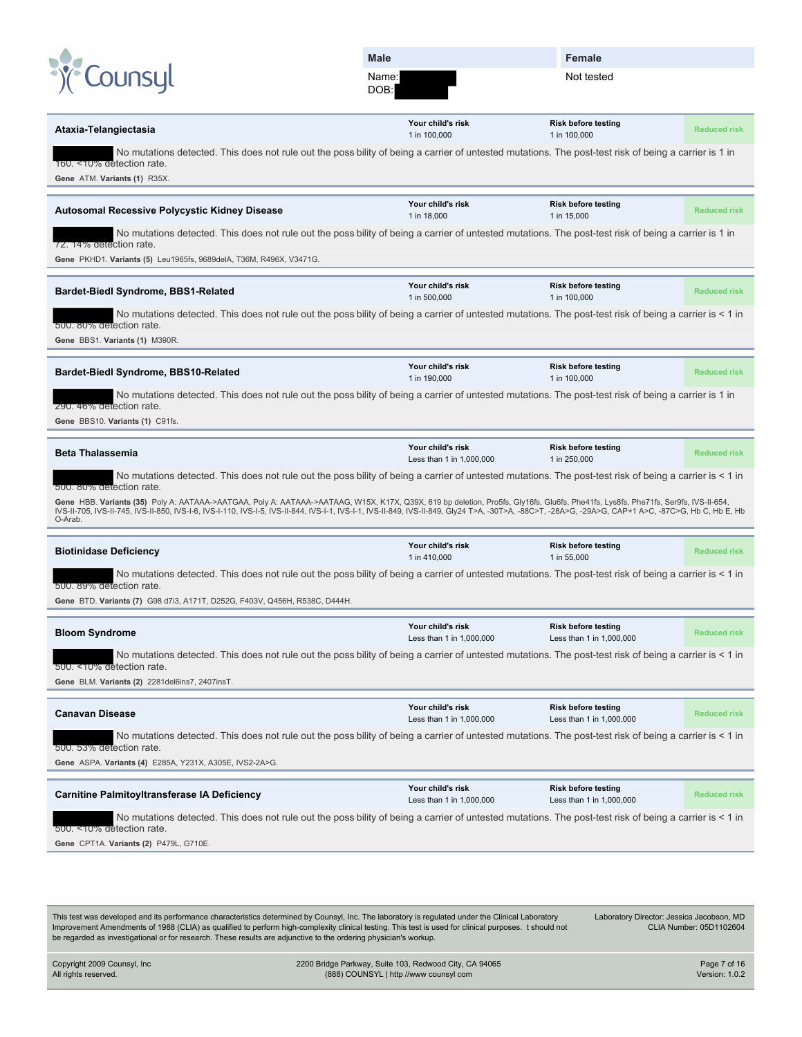| Male  |  |
|-------|--|
| Name: |  |

|                                                                                                                                                                                                                                                                                                                                                                                                                                 | <b>Male</b>                                   | <b>Female</b>                                          |                     |
|---------------------------------------------------------------------------------------------------------------------------------------------------------------------------------------------------------------------------------------------------------------------------------------------------------------------------------------------------------------------------------------------------------------------------------|-----------------------------------------------|--------------------------------------------------------|---------------------|
| Counsul                                                                                                                                                                                                                                                                                                                                                                                                                         | Name:<br>DOB:                                 | Not tested                                             |                     |
| Ataxia-Telangiectasia                                                                                                                                                                                                                                                                                                                                                                                                           | Your child's risk<br>1 in 100,000             | <b>Risk before testing</b><br>1 in 100,000             | <b>Reduced risk</b> |
| No mutations detected. This does not rule out the poss bility of being a carrier of untested mutations. The post-test risk of being a carrier is 1 in<br>160. <10% detection rate.<br>Gene ATM. Variants (1) R35X.                                                                                                                                                                                                              |                                               |                                                        |                     |
| Autosomal Recessive Polycystic Kidney Disease                                                                                                                                                                                                                                                                                                                                                                                   | Your child's risk<br>1 in 18,000              | <b>Risk before testing</b><br>1 in 15,000              | <b>Reduced risk</b> |
| No mutations detected. This does not rule out the poss bility of being a carrier of untested mutations. The post-test risk of being a carrier is 1 in<br>72. 14% detection rate.<br>Gene PKHD1. Variants (5) Leu1965fs, 9689delA, T36M, R496X, V3471G.                                                                                                                                                                          |                                               |                                                        |                     |
| <b>Bardet-Biedl Syndrome, BBS1-Related</b>                                                                                                                                                                                                                                                                                                                                                                                      | Your child's risk<br>1 in 500,000             | <b>Risk before testing</b><br>1 in 100,000             | <b>Reduced risk</b> |
| No mutations detected. This does not rule out the poss bility of being a carrier of untested mutations. The post-test risk of being a carrier is < 1 in<br>500. 80% detection rate.<br>Gene BBS1. Variants (1) M390R.                                                                                                                                                                                                           |                                               |                                                        |                     |
| Bardet-Biedl Syndrome, BBS10-Related                                                                                                                                                                                                                                                                                                                                                                                            | Your child's risk<br>1 in 190,000             | <b>Risk before testing</b><br>1 in 100,000             | <b>Reduced risk</b> |
| No mutations detected. This does not rule out the poss bility of being a carrier of untested mutations. The post-test risk of being a carrier is 1 in<br>290. 46% detection rate.<br>Gene BBS10. Variants (1) C91fs.                                                                                                                                                                                                            |                                               |                                                        |                     |
| <b>Beta Thalassemia</b>                                                                                                                                                                                                                                                                                                                                                                                                         | Your child's risk<br>Less than 1 in 1,000,000 | <b>Risk before testing</b><br>1 in 250,000             | <b>Reduced risk</b> |
| No mutations detected. This does not rule out the poss bility of being a carrier of untested mutations. The post-test risk of being a carrier is < 1 in                                                                                                                                                                                                                                                                         |                                               |                                                        |                     |
| 500. 80% detection rate.<br>Gene HBB. Variants (35) Poly A: AATAAA->AATGAA, Poly A: AATAAA->AATAAG, W15X, K17X, Q39X, 619 bp deletion, Pro5fs, Gly16fs, Glu6fs, Phe41fs, Lys8fs, Phe71fs, Ser9fs, IVS-II-654,<br>IVS-II-705, IVS-II-745, IVS-II-850, IVS-I-6, IVS-I-110, IVS-I-5, IVS-II-844, IVS-I-1, IVS-I-1, IVS-II-849, IVS-II-849, Gly24 T>A, -30T>A, -88C>T, -28A>G, -29A>G, CAP+1 A>C, -87C>G, Hb C, Hb E, Hb<br>O-Arab. |                                               |                                                        |                     |
| <b>Biotinidase Deficiency</b>                                                                                                                                                                                                                                                                                                                                                                                                   | Your child's risk<br>1 in 410,000             | <b>Risk before testing</b><br>1 in 55,000              | <b>Reduced risk</b> |
| No mutations detected. This does not rule out the poss bility of being a carrier of untested mutations. The post-test risk of being a carrier is < 1 in<br>500. 89% detection rate.<br>Gene BTD. Variants (7) G98 d7i3, A171T, D252G, F403V, Q456H, R538C, D444H.                                                                                                                                                               |                                               |                                                        |                     |
| <b>Bloom Syndrome</b>                                                                                                                                                                                                                                                                                                                                                                                                           | Your child's risk                             | <b>Risk before testing</b>                             | <b>Reduced risk</b> |
| No mutations detected. This does not rule out the poss bility of being a carrier of untested mutations. The post-test risk of being a carrier is < 1 in                                                                                                                                                                                                                                                                         | Less than 1 in 1,000,000                      | Less than 1 in 1,000,000                               |                     |
| 500. <10% detection rate.<br>Gene BLM. Variants (2) 2281del6ins7, 2407insT.                                                                                                                                                                                                                                                                                                                                                     |                                               |                                                        |                     |
| <b>Canavan Disease</b>                                                                                                                                                                                                                                                                                                                                                                                                          | Your child's risk<br>Less than 1 in 1,000,000 | <b>Risk before testing</b><br>Less than 1 in 1,000,000 | <b>Reduced risk</b> |
| No mutations detected. This does not rule out the poss bility of being a carrier of untested mutations. The post-test risk of being a carrier is < 1 in<br>500. 53% detection rate.<br>Gene ASPA. Variants (4) E285A, Y231X, A305E, IVS2-2A>G.                                                                                                                                                                                  |                                               |                                                        |                     |
| <b>Carnitine Palmitoyltransferase IA Deficiency</b>                                                                                                                                                                                                                                                                                                                                                                             | Your child's risk<br>Less than 1 in 1,000,000 | <b>Risk before testing</b><br>Less than 1 in 1,000,000 | <b>Reduced risk</b> |
| No mutations detected. This does not rule out the poss bility of being a carrier of untested mutations. The post-test risk of being a carrier is < 1 in<br>500. <10% detection rate.                                                                                                                                                                                                                                            |                                               |                                                        |                     |
| Gene CPT1A. Variants (2) P479L, G710E.                                                                                                                                                                                                                                                                                                                                                                                          |                                               |                                                        |                     |
|                                                                                                                                                                                                                                                                                                                                                                                                                                 |                                               |                                                        |                     |
| This test was developed and its performance characteristics determined by Counsyl, Inc. The laboratory is regulated under the Clinical Laboratory                                                                                                                                                                                                                                                                               |                                               | Laboratory Director: Jessica Jacobson, MD              |                     |

Improvement Amendments of 1988 (CLIA) as qualified to perform high-complexity clinical testing. This test is used for clinical purposes. t should not be regarded as investigational or for research. These results are adjunctive to the ordering physician's workup.

Laboratory Director: Jessica Jacobson, MD CLIA Number: 05D1102604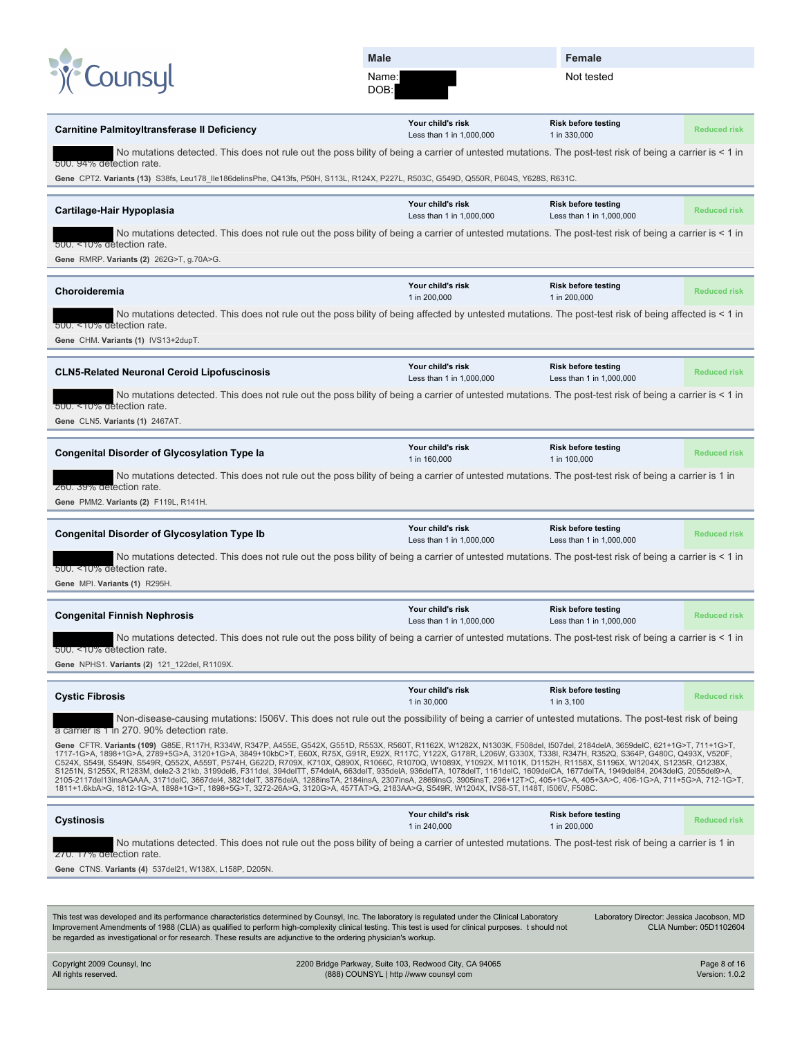| COUNSUL<br>Not tested<br>Name:<br>DOB:<br>Your child's risk<br><b>Risk before testing</b><br><b>Carnitine Palmitoyltransferase II Deficiency</b><br><b>Reduced risk</b><br>1 in 330,000<br>Less than 1 in 1,000,000<br>No mutations detected. This does not rule out the poss bility of being a carrier of untested mutations. The post-test risk of being a carrier is < 1 in<br>500. 94% detection rate.<br>Gene CPT2. Variants (13) S38fs, Leu178_lle186delinsPhe, Q413fs, P50H, S113L, R124X, P227L, R503C, G549D, Q550R, P604S, Y628S, R631C.<br>Your child's risk<br><b>Risk before testing</b><br>Cartilage-Hair Hypoplasia<br><b>Reduced risk</b><br>Less than 1 in 1,000,000<br>Less than 1 in 1,000,000<br>No mutations detected. This does not rule out the poss bility of being a carrier of untested mutations. The post-test risk of being a carrier is < 1 in<br>500. <10% detection rate.<br>Gene RMRP. Variants (2) 262G>T, g.70A>G.<br>Your child's risk<br><b>Risk before testing</b><br>Choroideremia<br><b>Reduced risk</b><br>1 in 200,000<br>1 in 200,000<br>No mutations detected. This does not rule out the poss bility of being affected by untested mutations. The post-test risk of being affected is < 1 in<br>500. <10% detection rate.<br>Gene CHM. Variants (1) IVS13+2dupT.<br>Your child's risk<br><b>Risk before testing</b><br><b>CLN5-Related Neuronal Ceroid Lipofuscinosis</b><br><b>Reduced risk</b><br>Less than 1 in 1,000,000<br>Less than 1 in 1,000,000<br>No mutations detected. This does not rule out the poss bility of being a carrier of untested mutations. The post-test risk of being a carrier is < 1 in<br>500. <10% detection rate.<br>Gene CLN5. Variants (1) 2467AT.<br>Your child's risk<br><b>Risk before testing</b><br><b>Congenital Disorder of Glycosylation Type la</b><br><b>Reduced risk</b><br>1 in 160,000<br>1 in 100,000<br>No mutations detected. This does not rule out the poss bility of being a carrier of untested mutations. The post-test risk of being a carrier is 1 in<br>260. 39% detection rate.<br>Gene PMM2. Variants (2) F119L, R141H.<br>Your child's risk<br><b>Risk before testing</b><br><b>Congenital Disorder of Glycosylation Type Ib</b><br><b>Reduced risk</b><br>Less than 1 in 1,000,000<br>Less than 1 in 1,000,000<br>No mutations detected. This does not rule out the poss bility of being a carrier of untested mutations. The post-test risk of being a carrier is < 1 in<br>500. <10% detection rate.<br>Gene MPI. Variants (1) R295H.<br>Your child's risk<br><b>Risk before testing</b><br><b>Congenital Finnish Nephrosis</b><br><b>Reduced risk</b><br>Less than 1 in 1,000,000<br>Less than 1 in 1,000,000<br>No mutations detected. This does not rule out the poss bility of being a carrier of untested mutations. The post-test risk of being a carrier is < 1 in<br>500. <10% detection rate.<br>Gene NPHS1. Variants (2) 121_122del, R1109X.<br>Your child's risk<br><b>Risk before testing</b><br><b>Cystic Fibrosis</b><br><b>Reduced risk</b><br>1 in 30,000<br>1 in 3,100<br>Non-disease-causing mutations: I506V. This does not rule out the possibility of being a carrier of untested mutations. The post-test risk of being<br>a carrier is 1 in 270. 90% detection rate.<br>Gene CFTR. Variants (109) G85E, R117H, R334W, R347P, A455E, G542X, G551D, R553X, R560T, R1162X, W1282X, N1303K, F508del, I507del, 2184delA, 3659delC, 621+1G>T, 711+1G>T,<br>1717-1G>A, 1898+1G>A, 2789+5G>A, 3120+1G>A, 3849+10kbC>T, E60X, R75X, G91R, E92X, R117C, Y122X, G178R, L206W, G330X, T338I, R347H, R352Q, S364P, G480C, Q493X, V520F,<br>C524X, S549I, S549N, S549R, Q552X, A559T, P574H, G622D, R709X, K710X, Q890X, R1066C, R1070Q, W1089X, Y1092X, M1101K, D1152H, R1158X, S1196X, W1204X, S1235R, Q1238X,<br>S1251N, S1255X, R1283M, dele2-3 21kb, 3199del6, F311del, 394delTT, 574delA, 663delT, 935delA, 936delTA, 1078delT, 1161delC, 1609delCA, 1677delTA, 1949del84, 2043delG, 2055del9>A,<br>2105-2117del13insAGAAA, 3171delC, 3667del4, 3821delT, 3876delA, 1288insTA, 2184insA, 2307insA, 2869insG, 3905insT, 296+12T>C, 405+1G>A, 405+3A>C, 406-1G>A, 711+5G>A, 712-1G>T,<br>1811+1.6kbA>G, 1812-1G>A, 1898+1G>T, 1898+5G>T, 3272-26A>G, 3120G>A, 457TAT>G, 2183AA>G, S549R, W1204X, IVS8-5T, I148T, I506V, F508C.<br>Your child's risk<br><b>Risk before testing</b><br>Cystinosis<br><b>Reduced risk</b><br>1 in 240,000<br>1 in 200,000<br>No mutations detected. This does not rule out the poss bility of being a carrier of untested mutations. The post-test risk of being a carrier is 1 in<br>270. 17% detection rate.<br>Gene CTNS. Variants (4) 537del21, W138X, L158P, D205N. | <b>Male</b> | Female |  |
|--------------------------------------------------------------------------------------------------------------------------------------------------------------------------------------------------------------------------------------------------------------------------------------------------------------------------------------------------------------------------------------------------------------------------------------------------------------------------------------------------------------------------------------------------------------------------------------------------------------------------------------------------------------------------------------------------------------------------------------------------------------------------------------------------------------------------------------------------------------------------------------------------------------------------------------------------------------------------------------------------------------------------------------------------------------------------------------------------------------------------------------------------------------------------------------------------------------------------------------------------------------------------------------------------------------------------------------------------------------------------------------------------------------------------------------------------------------------------------------------------------------------------------------------------------------------------------------------------------------------------------------------------------------------------------------------------------------------------------------------------------------------------------------------------------------------------------------------------------------------------------------------------------------------------------------------------------------------------------------------------------------------------------------------------------------------------------------------------------------------------------------------------------------------------------------------------------------------------------------------------------------------------------------------------------------------------------------------------------------------------------------------------------------------------------------------------------------------------------------------------------------------------------------------------------------------------------------------------------------------------------------------------------------------------------------------------------------------------------------------------------------------------------------------------------------------------------------------------------------------------------------------------------------------------------------------------------------------------------------------------------------------------------------------------------------------------------------------------------------------------------------------------------------------------------------------------------------------------------------------------------------------------------------------------------------------------------------------------------------------------------------------------------------------------------------------------------------------------------------------------------------------------------------------------------------------------------------------------------------------------------------------------------------------------------------------------------------------------------------------------------------------------------------------------------------------------------------------------------------------------------------------------------------------------------------------------------------------------------------------------------------------------------------------------------------------------------------------------------------------------------------------------------------------------------------------------------------------------------------------------------------------------------------------------------------------------------------------------------------------------------------------------------------------------------------------------------------------------------------------------------------------------------------------------------------------------------------------------------------------------------------------------------------------------------------------------------------------------------|-------------|--------|--|
|                                                                                                                                                                                                                                                                                                                                                                                                                                                                                                                                                                                                                                                                                                                                                                                                                                                                                                                                                                                                                                                                                                                                                                                                                                                                                                                                                                                                                                                                                                                                                                                                                                                                                                                                                                                                                                                                                                                                                                                                                                                                                                                                                                                                                                                                                                                                                                                                                                                                                                                                                                                                                                                                                                                                                                                                                                                                                                                                                                                                                                                                                                                                                                                                                                                                                                                                                                                                                                                                                                                                                                                                                                                                                                                                                                                                                                                                                                                                                                                                                                                                                                                                                                                                                                                                                                                                                                                                                                                                                                                                                                                                                                                                                                                                |             |        |  |
|                                                                                                                                                                                                                                                                                                                                                                                                                                                                                                                                                                                                                                                                                                                                                                                                                                                                                                                                                                                                                                                                                                                                                                                                                                                                                                                                                                                                                                                                                                                                                                                                                                                                                                                                                                                                                                                                                                                                                                                                                                                                                                                                                                                                                                                                                                                                                                                                                                                                                                                                                                                                                                                                                                                                                                                                                                                                                                                                                                                                                                                                                                                                                                                                                                                                                                                                                                                                                                                                                                                                                                                                                                                                                                                                                                                                                                                                                                                                                                                                                                                                                                                                                                                                                                                                                                                                                                                                                                                                                                                                                                                                                                                                                                                                |             |        |  |
|                                                                                                                                                                                                                                                                                                                                                                                                                                                                                                                                                                                                                                                                                                                                                                                                                                                                                                                                                                                                                                                                                                                                                                                                                                                                                                                                                                                                                                                                                                                                                                                                                                                                                                                                                                                                                                                                                                                                                                                                                                                                                                                                                                                                                                                                                                                                                                                                                                                                                                                                                                                                                                                                                                                                                                                                                                                                                                                                                                                                                                                                                                                                                                                                                                                                                                                                                                                                                                                                                                                                                                                                                                                                                                                                                                                                                                                                                                                                                                                                                                                                                                                                                                                                                                                                                                                                                                                                                                                                                                                                                                                                                                                                                                                                |             |        |  |
|                                                                                                                                                                                                                                                                                                                                                                                                                                                                                                                                                                                                                                                                                                                                                                                                                                                                                                                                                                                                                                                                                                                                                                                                                                                                                                                                                                                                                                                                                                                                                                                                                                                                                                                                                                                                                                                                                                                                                                                                                                                                                                                                                                                                                                                                                                                                                                                                                                                                                                                                                                                                                                                                                                                                                                                                                                                                                                                                                                                                                                                                                                                                                                                                                                                                                                                                                                                                                                                                                                                                                                                                                                                                                                                                                                                                                                                                                                                                                                                                                                                                                                                                                                                                                                                                                                                                                                                                                                                                                                                                                                                                                                                                                                                                |             |        |  |
|                                                                                                                                                                                                                                                                                                                                                                                                                                                                                                                                                                                                                                                                                                                                                                                                                                                                                                                                                                                                                                                                                                                                                                                                                                                                                                                                                                                                                                                                                                                                                                                                                                                                                                                                                                                                                                                                                                                                                                                                                                                                                                                                                                                                                                                                                                                                                                                                                                                                                                                                                                                                                                                                                                                                                                                                                                                                                                                                                                                                                                                                                                                                                                                                                                                                                                                                                                                                                                                                                                                                                                                                                                                                                                                                                                                                                                                                                                                                                                                                                                                                                                                                                                                                                                                                                                                                                                                                                                                                                                                                                                                                                                                                                                                                |             |        |  |
|                                                                                                                                                                                                                                                                                                                                                                                                                                                                                                                                                                                                                                                                                                                                                                                                                                                                                                                                                                                                                                                                                                                                                                                                                                                                                                                                                                                                                                                                                                                                                                                                                                                                                                                                                                                                                                                                                                                                                                                                                                                                                                                                                                                                                                                                                                                                                                                                                                                                                                                                                                                                                                                                                                                                                                                                                                                                                                                                                                                                                                                                                                                                                                                                                                                                                                                                                                                                                                                                                                                                                                                                                                                                                                                                                                                                                                                                                                                                                                                                                                                                                                                                                                                                                                                                                                                                                                                                                                                                                                                                                                                                                                                                                                                                |             |        |  |
|                                                                                                                                                                                                                                                                                                                                                                                                                                                                                                                                                                                                                                                                                                                                                                                                                                                                                                                                                                                                                                                                                                                                                                                                                                                                                                                                                                                                                                                                                                                                                                                                                                                                                                                                                                                                                                                                                                                                                                                                                                                                                                                                                                                                                                                                                                                                                                                                                                                                                                                                                                                                                                                                                                                                                                                                                                                                                                                                                                                                                                                                                                                                                                                                                                                                                                                                                                                                                                                                                                                                                                                                                                                                                                                                                                                                                                                                                                                                                                                                                                                                                                                                                                                                                                                                                                                                                                                                                                                                                                                                                                                                                                                                                                                                |             |        |  |
|                                                                                                                                                                                                                                                                                                                                                                                                                                                                                                                                                                                                                                                                                                                                                                                                                                                                                                                                                                                                                                                                                                                                                                                                                                                                                                                                                                                                                                                                                                                                                                                                                                                                                                                                                                                                                                                                                                                                                                                                                                                                                                                                                                                                                                                                                                                                                                                                                                                                                                                                                                                                                                                                                                                                                                                                                                                                                                                                                                                                                                                                                                                                                                                                                                                                                                                                                                                                                                                                                                                                                                                                                                                                                                                                                                                                                                                                                                                                                                                                                                                                                                                                                                                                                                                                                                                                                                                                                                                                                                                                                                                                                                                                                                                                |             |        |  |
|                                                                                                                                                                                                                                                                                                                                                                                                                                                                                                                                                                                                                                                                                                                                                                                                                                                                                                                                                                                                                                                                                                                                                                                                                                                                                                                                                                                                                                                                                                                                                                                                                                                                                                                                                                                                                                                                                                                                                                                                                                                                                                                                                                                                                                                                                                                                                                                                                                                                                                                                                                                                                                                                                                                                                                                                                                                                                                                                                                                                                                                                                                                                                                                                                                                                                                                                                                                                                                                                                                                                                                                                                                                                                                                                                                                                                                                                                                                                                                                                                                                                                                                                                                                                                                                                                                                                                                                                                                                                                                                                                                                                                                                                                                                                |             |        |  |
|                                                                                                                                                                                                                                                                                                                                                                                                                                                                                                                                                                                                                                                                                                                                                                                                                                                                                                                                                                                                                                                                                                                                                                                                                                                                                                                                                                                                                                                                                                                                                                                                                                                                                                                                                                                                                                                                                                                                                                                                                                                                                                                                                                                                                                                                                                                                                                                                                                                                                                                                                                                                                                                                                                                                                                                                                                                                                                                                                                                                                                                                                                                                                                                                                                                                                                                                                                                                                                                                                                                                                                                                                                                                                                                                                                                                                                                                                                                                                                                                                                                                                                                                                                                                                                                                                                                                                                                                                                                                                                                                                                                                                                                                                                                                |             |        |  |
|                                                                                                                                                                                                                                                                                                                                                                                                                                                                                                                                                                                                                                                                                                                                                                                                                                                                                                                                                                                                                                                                                                                                                                                                                                                                                                                                                                                                                                                                                                                                                                                                                                                                                                                                                                                                                                                                                                                                                                                                                                                                                                                                                                                                                                                                                                                                                                                                                                                                                                                                                                                                                                                                                                                                                                                                                                                                                                                                                                                                                                                                                                                                                                                                                                                                                                                                                                                                                                                                                                                                                                                                                                                                                                                                                                                                                                                                                                                                                                                                                                                                                                                                                                                                                                                                                                                                                                                                                                                                                                                                                                                                                                                                                                                                |             |        |  |
|                                                                                                                                                                                                                                                                                                                                                                                                                                                                                                                                                                                                                                                                                                                                                                                                                                                                                                                                                                                                                                                                                                                                                                                                                                                                                                                                                                                                                                                                                                                                                                                                                                                                                                                                                                                                                                                                                                                                                                                                                                                                                                                                                                                                                                                                                                                                                                                                                                                                                                                                                                                                                                                                                                                                                                                                                                                                                                                                                                                                                                                                                                                                                                                                                                                                                                                                                                                                                                                                                                                                                                                                                                                                                                                                                                                                                                                                                                                                                                                                                                                                                                                                                                                                                                                                                                                                                                                                                                                                                                                                                                                                                                                                                                                                |             |        |  |
|                                                                                                                                                                                                                                                                                                                                                                                                                                                                                                                                                                                                                                                                                                                                                                                                                                                                                                                                                                                                                                                                                                                                                                                                                                                                                                                                                                                                                                                                                                                                                                                                                                                                                                                                                                                                                                                                                                                                                                                                                                                                                                                                                                                                                                                                                                                                                                                                                                                                                                                                                                                                                                                                                                                                                                                                                                                                                                                                                                                                                                                                                                                                                                                                                                                                                                                                                                                                                                                                                                                                                                                                                                                                                                                                                                                                                                                                                                                                                                                                                                                                                                                                                                                                                                                                                                                                                                                                                                                                                                                                                                                                                                                                                                                                |             |        |  |
|                                                                                                                                                                                                                                                                                                                                                                                                                                                                                                                                                                                                                                                                                                                                                                                                                                                                                                                                                                                                                                                                                                                                                                                                                                                                                                                                                                                                                                                                                                                                                                                                                                                                                                                                                                                                                                                                                                                                                                                                                                                                                                                                                                                                                                                                                                                                                                                                                                                                                                                                                                                                                                                                                                                                                                                                                                                                                                                                                                                                                                                                                                                                                                                                                                                                                                                                                                                                                                                                                                                                                                                                                                                                                                                                                                                                                                                                                                                                                                                                                                                                                                                                                                                                                                                                                                                                                                                                                                                                                                                                                                                                                                                                                                                                |             |        |  |
|                                                                                                                                                                                                                                                                                                                                                                                                                                                                                                                                                                                                                                                                                                                                                                                                                                                                                                                                                                                                                                                                                                                                                                                                                                                                                                                                                                                                                                                                                                                                                                                                                                                                                                                                                                                                                                                                                                                                                                                                                                                                                                                                                                                                                                                                                                                                                                                                                                                                                                                                                                                                                                                                                                                                                                                                                                                                                                                                                                                                                                                                                                                                                                                                                                                                                                                                                                                                                                                                                                                                                                                                                                                                                                                                                                                                                                                                                                                                                                                                                                                                                                                                                                                                                                                                                                                                                                                                                                                                                                                                                                                                                                                                                                                                |             |        |  |
|                                                                                                                                                                                                                                                                                                                                                                                                                                                                                                                                                                                                                                                                                                                                                                                                                                                                                                                                                                                                                                                                                                                                                                                                                                                                                                                                                                                                                                                                                                                                                                                                                                                                                                                                                                                                                                                                                                                                                                                                                                                                                                                                                                                                                                                                                                                                                                                                                                                                                                                                                                                                                                                                                                                                                                                                                                                                                                                                                                                                                                                                                                                                                                                                                                                                                                                                                                                                                                                                                                                                                                                                                                                                                                                                                                                                                                                                                                                                                                                                                                                                                                                                                                                                                                                                                                                                                                                                                                                                                                                                                                                                                                                                                                                                |             |        |  |
|                                                                                                                                                                                                                                                                                                                                                                                                                                                                                                                                                                                                                                                                                                                                                                                                                                                                                                                                                                                                                                                                                                                                                                                                                                                                                                                                                                                                                                                                                                                                                                                                                                                                                                                                                                                                                                                                                                                                                                                                                                                                                                                                                                                                                                                                                                                                                                                                                                                                                                                                                                                                                                                                                                                                                                                                                                                                                                                                                                                                                                                                                                                                                                                                                                                                                                                                                                                                                                                                                                                                                                                                                                                                                                                                                                                                                                                                                                                                                                                                                                                                                                                                                                                                                                                                                                                                                                                                                                                                                                                                                                                                                                                                                                                                |             |        |  |
|                                                                                                                                                                                                                                                                                                                                                                                                                                                                                                                                                                                                                                                                                                                                                                                                                                                                                                                                                                                                                                                                                                                                                                                                                                                                                                                                                                                                                                                                                                                                                                                                                                                                                                                                                                                                                                                                                                                                                                                                                                                                                                                                                                                                                                                                                                                                                                                                                                                                                                                                                                                                                                                                                                                                                                                                                                                                                                                                                                                                                                                                                                                                                                                                                                                                                                                                                                                                                                                                                                                                                                                                                                                                                                                                                                                                                                                                                                                                                                                                                                                                                                                                                                                                                                                                                                                                                                                                                                                                                                                                                                                                                                                                                                                                |             |        |  |
|                                                                                                                                                                                                                                                                                                                                                                                                                                                                                                                                                                                                                                                                                                                                                                                                                                                                                                                                                                                                                                                                                                                                                                                                                                                                                                                                                                                                                                                                                                                                                                                                                                                                                                                                                                                                                                                                                                                                                                                                                                                                                                                                                                                                                                                                                                                                                                                                                                                                                                                                                                                                                                                                                                                                                                                                                                                                                                                                                                                                                                                                                                                                                                                                                                                                                                                                                                                                                                                                                                                                                                                                                                                                                                                                                                                                                                                                                                                                                                                                                                                                                                                                                                                                                                                                                                                                                                                                                                                                                                                                                                                                                                                                                                                                |             |        |  |
|                                                                                                                                                                                                                                                                                                                                                                                                                                                                                                                                                                                                                                                                                                                                                                                                                                                                                                                                                                                                                                                                                                                                                                                                                                                                                                                                                                                                                                                                                                                                                                                                                                                                                                                                                                                                                                                                                                                                                                                                                                                                                                                                                                                                                                                                                                                                                                                                                                                                                                                                                                                                                                                                                                                                                                                                                                                                                                                                                                                                                                                                                                                                                                                                                                                                                                                                                                                                                                                                                                                                                                                                                                                                                                                                                                                                                                                                                                                                                                                                                                                                                                                                                                                                                                                                                                                                                                                                                                                                                                                                                                                                                                                                                                                                |             |        |  |
|                                                                                                                                                                                                                                                                                                                                                                                                                                                                                                                                                                                                                                                                                                                                                                                                                                                                                                                                                                                                                                                                                                                                                                                                                                                                                                                                                                                                                                                                                                                                                                                                                                                                                                                                                                                                                                                                                                                                                                                                                                                                                                                                                                                                                                                                                                                                                                                                                                                                                                                                                                                                                                                                                                                                                                                                                                                                                                                                                                                                                                                                                                                                                                                                                                                                                                                                                                                                                                                                                                                                                                                                                                                                                                                                                                                                                                                                                                                                                                                                                                                                                                                                                                                                                                                                                                                                                                                                                                                                                                                                                                                                                                                                                                                                |             |        |  |
|                                                                                                                                                                                                                                                                                                                                                                                                                                                                                                                                                                                                                                                                                                                                                                                                                                                                                                                                                                                                                                                                                                                                                                                                                                                                                                                                                                                                                                                                                                                                                                                                                                                                                                                                                                                                                                                                                                                                                                                                                                                                                                                                                                                                                                                                                                                                                                                                                                                                                                                                                                                                                                                                                                                                                                                                                                                                                                                                                                                                                                                                                                                                                                                                                                                                                                                                                                                                                                                                                                                                                                                                                                                                                                                                                                                                                                                                                                                                                                                                                                                                                                                                                                                                                                                                                                                                                                                                                                                                                                                                                                                                                                                                                                                                |             |        |  |
|                                                                                                                                                                                                                                                                                                                                                                                                                                                                                                                                                                                                                                                                                                                                                                                                                                                                                                                                                                                                                                                                                                                                                                                                                                                                                                                                                                                                                                                                                                                                                                                                                                                                                                                                                                                                                                                                                                                                                                                                                                                                                                                                                                                                                                                                                                                                                                                                                                                                                                                                                                                                                                                                                                                                                                                                                                                                                                                                                                                                                                                                                                                                                                                                                                                                                                                                                                                                                                                                                                                                                                                                                                                                                                                                                                                                                                                                                                                                                                                                                                                                                                                                                                                                                                                                                                                                                                                                                                                                                                                                                                                                                                                                                                                                |             |        |  |
|                                                                                                                                                                                                                                                                                                                                                                                                                                                                                                                                                                                                                                                                                                                                                                                                                                                                                                                                                                                                                                                                                                                                                                                                                                                                                                                                                                                                                                                                                                                                                                                                                                                                                                                                                                                                                                                                                                                                                                                                                                                                                                                                                                                                                                                                                                                                                                                                                                                                                                                                                                                                                                                                                                                                                                                                                                                                                                                                                                                                                                                                                                                                                                                                                                                                                                                                                                                                                                                                                                                                                                                                                                                                                                                                                                                                                                                                                                                                                                                                                                                                                                                                                                                                                                                                                                                                                                                                                                                                                                                                                                                                                                                                                                                                |             |        |  |
|                                                                                                                                                                                                                                                                                                                                                                                                                                                                                                                                                                                                                                                                                                                                                                                                                                                                                                                                                                                                                                                                                                                                                                                                                                                                                                                                                                                                                                                                                                                                                                                                                                                                                                                                                                                                                                                                                                                                                                                                                                                                                                                                                                                                                                                                                                                                                                                                                                                                                                                                                                                                                                                                                                                                                                                                                                                                                                                                                                                                                                                                                                                                                                                                                                                                                                                                                                                                                                                                                                                                                                                                                                                                                                                                                                                                                                                                                                                                                                                                                                                                                                                                                                                                                                                                                                                                                                                                                                                                                                                                                                                                                                                                                                                                |             |        |  |
|                                                                                                                                                                                                                                                                                                                                                                                                                                                                                                                                                                                                                                                                                                                                                                                                                                                                                                                                                                                                                                                                                                                                                                                                                                                                                                                                                                                                                                                                                                                                                                                                                                                                                                                                                                                                                                                                                                                                                                                                                                                                                                                                                                                                                                                                                                                                                                                                                                                                                                                                                                                                                                                                                                                                                                                                                                                                                                                                                                                                                                                                                                                                                                                                                                                                                                                                                                                                                                                                                                                                                                                                                                                                                                                                                                                                                                                                                                                                                                                                                                                                                                                                                                                                                                                                                                                                                                                                                                                                                                                                                                                                                                                                                                                                |             |        |  |
|                                                                                                                                                                                                                                                                                                                                                                                                                                                                                                                                                                                                                                                                                                                                                                                                                                                                                                                                                                                                                                                                                                                                                                                                                                                                                                                                                                                                                                                                                                                                                                                                                                                                                                                                                                                                                                                                                                                                                                                                                                                                                                                                                                                                                                                                                                                                                                                                                                                                                                                                                                                                                                                                                                                                                                                                                                                                                                                                                                                                                                                                                                                                                                                                                                                                                                                                                                                                                                                                                                                                                                                                                                                                                                                                                                                                                                                                                                                                                                                                                                                                                                                                                                                                                                                                                                                                                                                                                                                                                                                                                                                                                                                                                                                                |             |        |  |
|                                                                                                                                                                                                                                                                                                                                                                                                                                                                                                                                                                                                                                                                                                                                                                                                                                                                                                                                                                                                                                                                                                                                                                                                                                                                                                                                                                                                                                                                                                                                                                                                                                                                                                                                                                                                                                                                                                                                                                                                                                                                                                                                                                                                                                                                                                                                                                                                                                                                                                                                                                                                                                                                                                                                                                                                                                                                                                                                                                                                                                                                                                                                                                                                                                                                                                                                                                                                                                                                                                                                                                                                                                                                                                                                                                                                                                                                                                                                                                                                                                                                                                                                                                                                                                                                                                                                                                                                                                                                                                                                                                                                                                                                                                                                |             |        |  |
|                                                                                                                                                                                                                                                                                                                                                                                                                                                                                                                                                                                                                                                                                                                                                                                                                                                                                                                                                                                                                                                                                                                                                                                                                                                                                                                                                                                                                                                                                                                                                                                                                                                                                                                                                                                                                                                                                                                                                                                                                                                                                                                                                                                                                                                                                                                                                                                                                                                                                                                                                                                                                                                                                                                                                                                                                                                                                                                                                                                                                                                                                                                                                                                                                                                                                                                                                                                                                                                                                                                                                                                                                                                                                                                                                                                                                                                                                                                                                                                                                                                                                                                                                                                                                                                                                                                                                                                                                                                                                                                                                                                                                                                                                                                                |             |        |  |
|                                                                                                                                                                                                                                                                                                                                                                                                                                                                                                                                                                                                                                                                                                                                                                                                                                                                                                                                                                                                                                                                                                                                                                                                                                                                                                                                                                                                                                                                                                                                                                                                                                                                                                                                                                                                                                                                                                                                                                                                                                                                                                                                                                                                                                                                                                                                                                                                                                                                                                                                                                                                                                                                                                                                                                                                                                                                                                                                                                                                                                                                                                                                                                                                                                                                                                                                                                                                                                                                                                                                                                                                                                                                                                                                                                                                                                                                                                                                                                                                                                                                                                                                                                                                                                                                                                                                                                                                                                                                                                                                                                                                                                                                                                                                |             |        |  |
|                                                                                                                                                                                                                                                                                                                                                                                                                                                                                                                                                                                                                                                                                                                                                                                                                                                                                                                                                                                                                                                                                                                                                                                                                                                                                                                                                                                                                                                                                                                                                                                                                                                                                                                                                                                                                                                                                                                                                                                                                                                                                                                                                                                                                                                                                                                                                                                                                                                                                                                                                                                                                                                                                                                                                                                                                                                                                                                                                                                                                                                                                                                                                                                                                                                                                                                                                                                                                                                                                                                                                                                                                                                                                                                                                                                                                                                                                                                                                                                                                                                                                                                                                                                                                                                                                                                                                                                                                                                                                                                                                                                                                                                                                                                                |             |        |  |
|                                                                                                                                                                                                                                                                                                                                                                                                                                                                                                                                                                                                                                                                                                                                                                                                                                                                                                                                                                                                                                                                                                                                                                                                                                                                                                                                                                                                                                                                                                                                                                                                                                                                                                                                                                                                                                                                                                                                                                                                                                                                                                                                                                                                                                                                                                                                                                                                                                                                                                                                                                                                                                                                                                                                                                                                                                                                                                                                                                                                                                                                                                                                                                                                                                                                                                                                                                                                                                                                                                                                                                                                                                                                                                                                                                                                                                                                                                                                                                                                                                                                                                                                                                                                                                                                                                                                                                                                                                                                                                                                                                                                                                                                                                                                |             |        |  |
|                                                                                                                                                                                                                                                                                                                                                                                                                                                                                                                                                                                                                                                                                                                                                                                                                                                                                                                                                                                                                                                                                                                                                                                                                                                                                                                                                                                                                                                                                                                                                                                                                                                                                                                                                                                                                                                                                                                                                                                                                                                                                                                                                                                                                                                                                                                                                                                                                                                                                                                                                                                                                                                                                                                                                                                                                                                                                                                                                                                                                                                                                                                                                                                                                                                                                                                                                                                                                                                                                                                                                                                                                                                                                                                                                                                                                                                                                                                                                                                                                                                                                                                                                                                                                                                                                                                                                                                                                                                                                                                                                                                                                                                                                                                                |             |        |  |
|                                                                                                                                                                                                                                                                                                                                                                                                                                                                                                                                                                                                                                                                                                                                                                                                                                                                                                                                                                                                                                                                                                                                                                                                                                                                                                                                                                                                                                                                                                                                                                                                                                                                                                                                                                                                                                                                                                                                                                                                                                                                                                                                                                                                                                                                                                                                                                                                                                                                                                                                                                                                                                                                                                                                                                                                                                                                                                                                                                                                                                                                                                                                                                                                                                                                                                                                                                                                                                                                                                                                                                                                                                                                                                                                                                                                                                                                                                                                                                                                                                                                                                                                                                                                                                                                                                                                                                                                                                                                                                                                                                                                                                                                                                                                |             |        |  |
|                                                                                                                                                                                                                                                                                                                                                                                                                                                                                                                                                                                                                                                                                                                                                                                                                                                                                                                                                                                                                                                                                                                                                                                                                                                                                                                                                                                                                                                                                                                                                                                                                                                                                                                                                                                                                                                                                                                                                                                                                                                                                                                                                                                                                                                                                                                                                                                                                                                                                                                                                                                                                                                                                                                                                                                                                                                                                                                                                                                                                                                                                                                                                                                                                                                                                                                                                                                                                                                                                                                                                                                                                                                                                                                                                                                                                                                                                                                                                                                                                                                                                                                                                                                                                                                                                                                                                                                                                                                                                                                                                                                                                                                                                                                                |             |        |  |
|                                                                                                                                                                                                                                                                                                                                                                                                                                                                                                                                                                                                                                                                                                                                                                                                                                                                                                                                                                                                                                                                                                                                                                                                                                                                                                                                                                                                                                                                                                                                                                                                                                                                                                                                                                                                                                                                                                                                                                                                                                                                                                                                                                                                                                                                                                                                                                                                                                                                                                                                                                                                                                                                                                                                                                                                                                                                                                                                                                                                                                                                                                                                                                                                                                                                                                                                                                                                                                                                                                                                                                                                                                                                                                                                                                                                                                                                                                                                                                                                                                                                                                                                                                                                                                                                                                                                                                                                                                                                                                                                                                                                                                                                                                                                |             |        |  |
|                                                                                                                                                                                                                                                                                                                                                                                                                                                                                                                                                                                                                                                                                                                                                                                                                                                                                                                                                                                                                                                                                                                                                                                                                                                                                                                                                                                                                                                                                                                                                                                                                                                                                                                                                                                                                                                                                                                                                                                                                                                                                                                                                                                                                                                                                                                                                                                                                                                                                                                                                                                                                                                                                                                                                                                                                                                                                                                                                                                                                                                                                                                                                                                                                                                                                                                                                                                                                                                                                                                                                                                                                                                                                                                                                                                                                                                                                                                                                                                                                                                                                                                                                                                                                                                                                                                                                                                                                                                                                                                                                                                                                                                                                                                                |             |        |  |
|                                                                                                                                                                                                                                                                                                                                                                                                                                                                                                                                                                                                                                                                                                                                                                                                                                                                                                                                                                                                                                                                                                                                                                                                                                                                                                                                                                                                                                                                                                                                                                                                                                                                                                                                                                                                                                                                                                                                                                                                                                                                                                                                                                                                                                                                                                                                                                                                                                                                                                                                                                                                                                                                                                                                                                                                                                                                                                                                                                                                                                                                                                                                                                                                                                                                                                                                                                                                                                                                                                                                                                                                                                                                                                                                                                                                                                                                                                                                                                                                                                                                                                                                                                                                                                                                                                                                                                                                                                                                                                                                                                                                                                                                                                                                |             |        |  |
|                                                                                                                                                                                                                                                                                                                                                                                                                                                                                                                                                                                                                                                                                                                                                                                                                                                                                                                                                                                                                                                                                                                                                                                                                                                                                                                                                                                                                                                                                                                                                                                                                                                                                                                                                                                                                                                                                                                                                                                                                                                                                                                                                                                                                                                                                                                                                                                                                                                                                                                                                                                                                                                                                                                                                                                                                                                                                                                                                                                                                                                                                                                                                                                                                                                                                                                                                                                                                                                                                                                                                                                                                                                                                                                                                                                                                                                                                                                                                                                                                                                                                                                                                                                                                                                                                                                                                                                                                                                                                                                                                                                                                                                                                                                                |             |        |  |
|                                                                                                                                                                                                                                                                                                                                                                                                                                                                                                                                                                                                                                                                                                                                                                                                                                                                                                                                                                                                                                                                                                                                                                                                                                                                                                                                                                                                                                                                                                                                                                                                                                                                                                                                                                                                                                                                                                                                                                                                                                                                                                                                                                                                                                                                                                                                                                                                                                                                                                                                                                                                                                                                                                                                                                                                                                                                                                                                                                                                                                                                                                                                                                                                                                                                                                                                                                                                                                                                                                                                                                                                                                                                                                                                                                                                                                                                                                                                                                                                                                                                                                                                                                                                                                                                                                                                                                                                                                                                                                                                                                                                                                                                                                                                |             |        |  |
|                                                                                                                                                                                                                                                                                                                                                                                                                                                                                                                                                                                                                                                                                                                                                                                                                                                                                                                                                                                                                                                                                                                                                                                                                                                                                                                                                                                                                                                                                                                                                                                                                                                                                                                                                                                                                                                                                                                                                                                                                                                                                                                                                                                                                                                                                                                                                                                                                                                                                                                                                                                                                                                                                                                                                                                                                                                                                                                                                                                                                                                                                                                                                                                                                                                                                                                                                                                                                                                                                                                                                                                                                                                                                                                                                                                                                                                                                                                                                                                                                                                                                                                                                                                                                                                                                                                                                                                                                                                                                                                                                                                                                                                                                                                                |             |        |  |
| This test was developed and its performance characteristics determined by Counsyl, Inc. The laboratory is regulated under the Clinical Laboratory<br>Laboratory Director: Jessica Jacobson, MD<br>Improvement Amendments of 1988 (CLIA) as qualified to perform high-complexity clinical testing. This test is used for clinical purposes. t should not<br>CLIA Number: 05D1102604                                                                                                                                                                                                                                                                                                                                                                                                                                                                                                                                                                                                                                                                                                                                                                                                                                                                                                                                                                                                                                                                                                                                                                                                                                                                                                                                                                                                                                                                                                                                                                                                                                                                                                                                                                                                                                                                                                                                                                                                                                                                                                                                                                                                                                                                                                                                                                                                                                                                                                                                                                                                                                                                                                                                                                                                                                                                                                                                                                                                                                                                                                                                                                                                                                                                                                                                                                                                                                                                                                                                                                                                                                                                                                                                                                                                                                                                                                                                                                                                                                                                                                                                                                                                                                                                                                                                             |             |        |  |
| be regarded as investigational or for research. These results are adjunctive to the ordering physician's workup.                                                                                                                                                                                                                                                                                                                                                                                                                                                                                                                                                                                                                                                                                                                                                                                                                                                                                                                                                                                                                                                                                                                                                                                                                                                                                                                                                                                                                                                                                                                                                                                                                                                                                                                                                                                                                                                                                                                                                                                                                                                                                                                                                                                                                                                                                                                                                                                                                                                                                                                                                                                                                                                                                                                                                                                                                                                                                                                                                                                                                                                                                                                                                                                                                                                                                                                                                                                                                                                                                                                                                                                                                                                                                                                                                                                                                                                                                                                                                                                                                                                                                                                                                                                                                                                                                                                                                                                                                                                                                                                                                                                                               |             |        |  |
| Copyright 2009 Counsyl, Inc.<br>2200 Bridge Parkway, Suite 103, Redwood City, CA 94065<br>Page 8 of 16<br>All rights reserved.<br>(888) COUNSYL   http //www counsyl com<br>Version: 1.0.2                                                                                                                                                                                                                                                                                                                                                                                                                                                                                                                                                                                                                                                                                                                                                                                                                                                                                                                                                                                                                                                                                                                                                                                                                                                                                                                                                                                                                                                                                                                                                                                                                                                                                                                                                                                                                                                                                                                                                                                                                                                                                                                                                                                                                                                                                                                                                                                                                                                                                                                                                                                                                                                                                                                                                                                                                                                                                                                                                                                                                                                                                                                                                                                                                                                                                                                                                                                                                                                                                                                                                                                                                                                                                                                                                                                                                                                                                                                                                                                                                                                                                                                                                                                                                                                                                                                                                                                                                                                                                                                                     |             |        |  |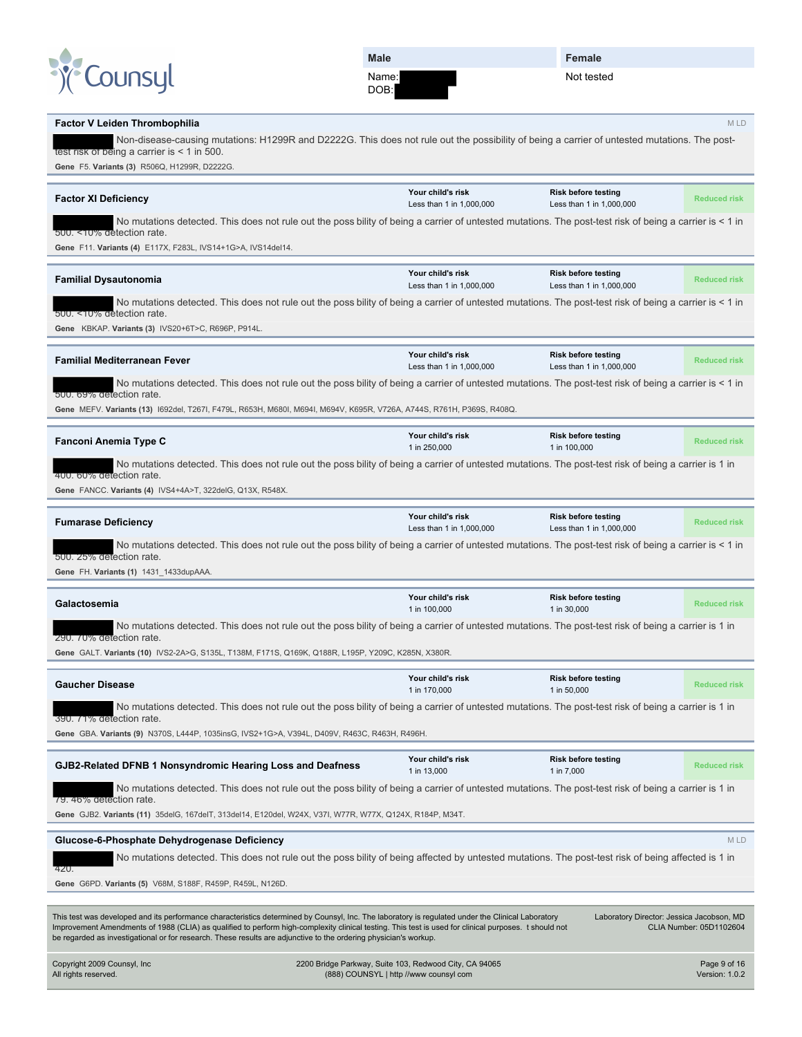

DOB:

**Female**

Not tested

#### **Factor V Leiden Thrombophilia** M LD Non-disease-causing mutations: H1299R and D2222G. This does not rule out the possibility of being a carrier of untested mutations. The posttest risk of being a carrier is < 1 in 500. **Gene** F5. **Variants (3)** R506Q, H1299R, D2222G. **Factor XI Deficiency Your child's risk** Less than 1 in 1,000,000 **Risk before testing** Less than 1 in 1,000,000 **Reduced risk** No mutations detected. This does not rule out the poss bility of being a carrier of untested mutations. The post-test risk of being a carrier is < 1 in detection rate. **Gene** F11. **Variants (4)** E117X, F283L, IVS14+1G>A, IVS14del14. **Familial Dysautonomia Your child's risk** Less than 1 in 1,000,000 **Risk before testing** Less than 1 in 1,000,000 **Reduced risk** No mutations detected. This does not rule out the poss bility of being a carrier of untested mutations. The post-test risk of being a carrier is < 1 in 500. <10% detection rate. **Gene** KBKAP. **Variants (3)** IVS20+6T>C, R696P, P914L. **Familial Mediterranean Fever Your child's risk** Less than 1 in 1,000,000 **Risk before testing** Less than 1 in 1,000,000 **Reduced risk** No mutations detected. This does not rule out the poss bility of being a carrier of untested mutations. The post-test risk of being a carrier is < 1 in 500. 69% detection rate. **Gene** MEFV. **Variants (13)** I692del, T267I, F479L, R653H, M680I, M694I, M694V, K695R, V726A, A744S, R761H, P369S, R408Q. **Fanconi Anemia Type C Your child's risk** 1 in 250,000 **Risk before testing** 1 in 100,000 **Reduced risk** No mutations detected. This does not rule out the poss bility of being a carrier of untested mutations. The post-test risk of being a carrier is 1 in 6 detection rate **Gene** FANCC. **Variants (4)** IVS4+4A>T, 322delG, Q13X, R548X. **Fumarase Deficiency Your child's risk** Less than 1 in 1,000,000 **Risk before testing** Less than 1 in 1,000,000 **Reduced risk** No mutations detected. This does not rule out the poss bility of being a carrier of untested mutations. The post-test risk of being a carrier is < 1 in <sub>d</sub> detection rate **Gene** FH. **Variants (1)** 1431\_1433dupAAA. **Galactosemia Your child's risk** 1 in 100,000 **Risk before testing** 1 in 30,000 **Reduced risk** No mutations detected. This does not rule out the poss bility of being a carrier of untested mutations. The post-test risk of being a carrier is 1 in 290. 70% detection rate. **Gene** GALT. **Variants (10)** IVS2-2A>G, S135L, T138M, F171S, Q169K, Q188R, L195P, Y209C, K285N, X380R. **Gaucher Disease Your child's risk** 1 in 170,000 **Risk before testing** 1 in 50,000 **Reduced risk** No mutations detected. This does not rule out the poss bility of being a carrier of untested mutations. The post-test risk of being a carrier is 1 in ection rate **Gene** GBA. **Variants (9)** N370S, L444P, 1035insG, IVS2+1G>A, V394L, D409V, R463C, R463H, R496H. **GJB2-Related DFNB 1 Nonsyndromic Hearing Loss and Deafness Your child's risk** 1 in 13,000 **Risk before testing** 1 in 7,000 **Reduced risk** No mutations detected. This does not rule out the poss bility of being a carrier of untested mutations. The post-test risk of being a carrier is 1 in 79. 46% detection rate. **Gene** GJB2. **Variants (11)** 35delG, 167delT, 313del14, E120del, W24X, V37I, W77R, W77X, Q124X, R184P, M34T. **Glucose-6-Phosphate Dehydrogenase Deficiency** M LD No mutations detected. This does not rule out the poss bility of being affected by untested mutations. The post-test risk of being affected is 1 in 420. **Gene** G6PD. **Variants (5)** V68M, S188F, R459P, R459L, N126D. This test was developed and its performance characteristics determined by Counsyl, Inc. The laboratory is regulated under the Clinical Laboratory Improvement Amendments of 1988 (CLIA) as qualified to perform high-complexity clinical testing. This test is used for clinical purposes. t should not be regarded as investigational or for research. These results are adjunctive to the ordering physician's workup. Laboratory Director: Jessica Jacobson, MD CLIA Number: 05D1102604 Copyright 2009 Counsyl, Inc All rights reserved. 2200 Bridge Parkway, Suite 103, Redwood City, CA 94065 (888) COUNSYL | http //www counsyl com Page 9 of 16 Version: 1.0.2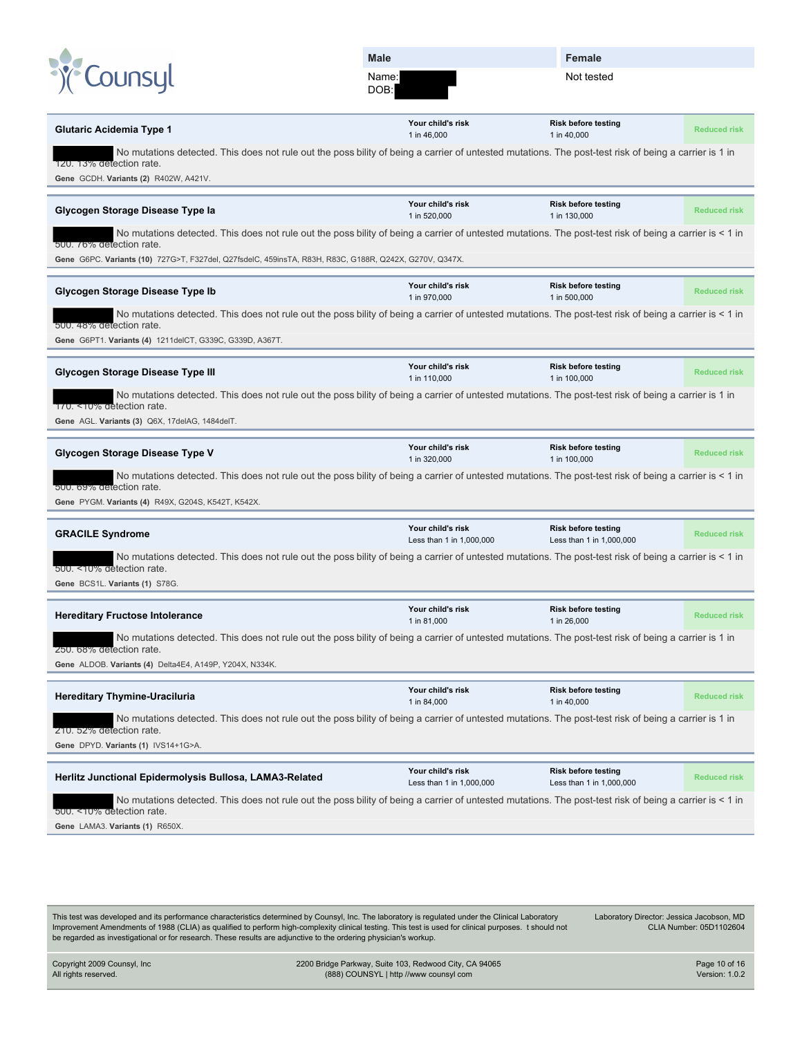|                                                                                                                                    | <b>Male</b>                                                                                                                                             | Female                                                 |                     |
|------------------------------------------------------------------------------------------------------------------------------------|---------------------------------------------------------------------------------------------------------------------------------------------------------|--------------------------------------------------------|---------------------|
| LOUNSU                                                                                                                             | Name:<br>DOB:                                                                                                                                           | Not tested                                             |                     |
| Glutaric Acidemia Type 1                                                                                                           | Your child's risk<br>1 in 46,000                                                                                                                        | <b>Risk before testing</b><br>1 in 40,000              | <b>Reduced risk</b> |
| 120. 13% detection rate.<br>Gene GCDH. Variants (2) R402W, A421V.                                                                  | No mutations detected. This does not rule out the poss bility of being a carrier of untested mutations. The post-test risk of being a carrier is 1 in   |                                                        |                     |
| Glycogen Storage Disease Type la                                                                                                   | Your child's risk<br>1 in 520,000                                                                                                                       | <b>Risk before testing</b><br>1 in 130,000             | <b>Reduced risk</b> |
| 500. 76% detection rate.<br>Gene G6PC. Variants (10) 727G>T, F327del, Q27fsdelC, 459insTA, R83H, R83C, G188R, Q242X, G270V, Q347X. | No mutations detected. This does not rule out the poss bility of being a carrier of untested mutations. The post-test risk of being a carrier is < 1 in |                                                        |                     |
| Glycogen Storage Disease Type Ib                                                                                                   | Your child's risk<br>1 in 970,000                                                                                                                       | <b>Risk before testing</b><br>1 in 500,000             | <b>Reduced risk</b> |
| 500. 48% detection rate.<br>Gene G6PT1. Variants (4) 1211delCT, G339C, G339D, A367T.                                               | No mutations detected. This does not rule out the poss bility of being a carrier of untested mutations. The post-test risk of being a carrier is < 1 in |                                                        |                     |
| Glycogen Storage Disease Type III                                                                                                  | Your child's risk<br>1 in 110,000                                                                                                                       | <b>Risk before testing</b><br>1 in 100,000             | <b>Reduced risk</b> |
| 170. <10% detection rate.<br>Gene AGL. Variants (3) Q6X, 17delAG, 1484delT.                                                        | No mutations detected. This does not rule out the poss bility of being a carrier of untested mutations. The post-test risk of being a carrier is 1 in   |                                                        |                     |
| Glycogen Storage Disease Type V                                                                                                    | Your child's risk<br>1 in 320,000                                                                                                                       | <b>Risk before testing</b><br>1 in 100,000             | <b>Reduced risk</b> |
| 500. 69% detection rate.<br>Gene PYGM. Variants (4) R49X, G204S, K542T, K542X.                                                     | No mutations detected. This does not rule out the poss bility of being a carrier of untested mutations. The post-test risk of being a carrier is < 1 in |                                                        |                     |
| <b>GRACILE Syndrome</b>                                                                                                            | Your child's risk<br>Less than 1 in 1,000,000                                                                                                           | <b>Risk before testing</b><br>Less than 1 in 1,000,000 | <b>Reduced risk</b> |
| 500. < 10% detection rate.<br>Gene BCS1L. Variants (1) S78G.                                                                       | No mutations detected. This does not rule out the poss bility of being a carrier of untested mutations. The post-test risk of being a carrier is < 1 in |                                                        |                     |
| <b>Hereditary Fructose Intolerance</b>                                                                                             | Your child's risk<br>1 in 81,000                                                                                                                        | <b>Risk before testing</b><br>1 in 26,000              | <b>Reduced risk</b> |
| 250. 68% detection rate.<br>Gene ALDOB. Variants (4) Delta4E4, A149P, Y204X, N334K.                                                | No mutations detected. This does not rule out the poss bility of being a carrier of untested mutations. The post-test risk of being a carrier is 1 in   |                                                        |                     |
| <b>Hereditary Thymine-Uraciluria</b>                                                                                               | Your child's risk<br>1 in 84,000                                                                                                                        | <b>Risk before testing</b><br>1 in 40,000              | <b>Reduced risk</b> |
| 210. 52% detection rate.<br>Gene DPYD. Variants (1) IVS14+1G>A.                                                                    | No mutations detected. This does not rule out the poss bility of being a carrier of untested mutations. The post-test risk of being a carrier is 1 in   |                                                        |                     |
| Herlitz Junctional Epidermolysis Bullosa, LAMA3-Related                                                                            | Your child's risk<br>Less than 1 in 1,000,000                                                                                                           | <b>Risk before testing</b><br>Less than 1 in 1,000,000 | <b>Reduced risk</b> |
| 500. <10% detection rate.<br>Gene LAMA3. Variants (1) R650X.                                                                       | No mutations detected. This does not rule out the poss bility of being a carrier of untested mutations. The post-test risk of being a carrier is < 1 in |                                                        |                     |
|                                                                                                                                    |                                                                                                                                                         |                                                        |                     |

This test was developed and its performance characteristics determined by Counsyl, Inc. The laboratory is regulated under the Clinical Laboratory Improvement Amendments of 1988 (CLIA) as qualified to perform high-complexity clinical testing. This test is used for clinical purposes. t should not be regarded as investigational or for research. These results are adjunctive to the ordering physician's workup.

Laboratory Director: Jessica Jacobson, MD CLIA Number: 05D1102604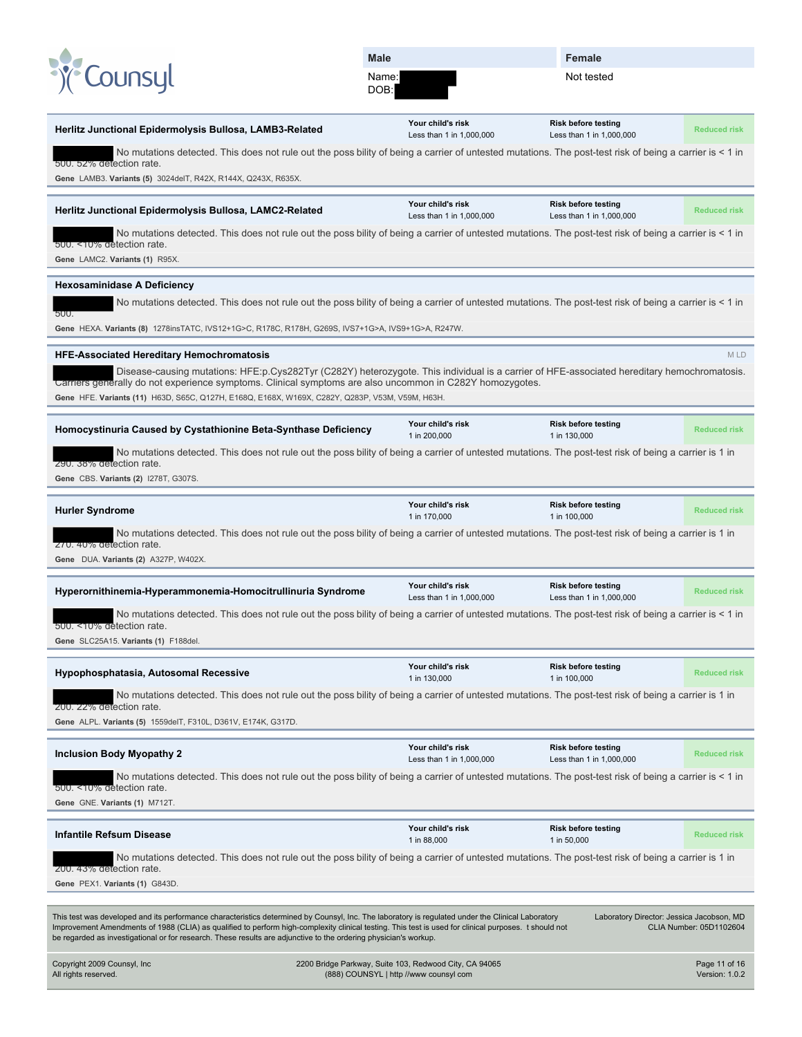| <sup>8</sup> <i>Counsyl</i> |
|-----------------------------|
|-----------------------------|

DOB:

**Female**

Not tested

| Herlitz Junctional Epidermolysis Bullosa, LAMB3-Related                                                                                                                                                                                                                   | Your child's risk<br>Less than 1 in 1,000,000          | <b>Risk before testing</b><br>Less than 1 in 1,000,000 | <b>Reduced risk</b>     |
|---------------------------------------------------------------------------------------------------------------------------------------------------------------------------------------------------------------------------------------------------------------------------|--------------------------------------------------------|--------------------------------------------------------|-------------------------|
| No mutations detected. This does not rule out the poss bility of being a carrier of untested mutations. The post-test risk of being a carrier is < 1 in                                                                                                                   |                                                        |                                                        |                         |
| 500. 52% detection rate.<br>Gene LAMB3. Variants (5) 3024delT, R42X, R144X, Q243X, R635X.                                                                                                                                                                                 |                                                        |                                                        |                         |
|                                                                                                                                                                                                                                                                           |                                                        |                                                        |                         |
| Herlitz Junctional Epidermolysis Bullosa, LAMC2-Related                                                                                                                                                                                                                   | Your child's risk<br>Less than 1 in 1,000,000          | <b>Risk before testing</b><br>Less than 1 in 1,000,000 | <b>Reduced risk</b>     |
| No mutations detected. This does not rule out the poss bility of being a carrier of untested mutations. The post-test risk of being a carrier is < 1 in<br>500. <10% detection rate.                                                                                      |                                                        |                                                        |                         |
| Gene LAMC2. Variants (1) R95X.                                                                                                                                                                                                                                            |                                                        |                                                        |                         |
| <b>Hexosaminidase A Deficiency</b>                                                                                                                                                                                                                                        |                                                        |                                                        |                         |
| No mutations detected. This does not rule out the poss bility of being a carrier of untested mutations. The post-test risk of being a carrier is < 1 in<br>500.                                                                                                           |                                                        |                                                        |                         |
| Gene HEXA. Variants (8) 1278insTATC, IVS12+1G>C, R178C, R178H, G269S, IVS7+1G>A, IVS9+1G>A, R247W.                                                                                                                                                                        |                                                        |                                                        |                         |
| <b>HFE-Associated Hereditary Hemochromatosis</b>                                                                                                                                                                                                                          |                                                        |                                                        | M LD                    |
| Disease-causing mutations: HFE:p.Cys282Tyr (C282Y) heterozygote. This individual is a carrier of HFE-associated hereditary hemochromatosis.                                                                                                                               |                                                        |                                                        |                         |
| Carriers generally do not experience symptoms. Clinical symptoms are also uncommon in C282Y homozygotes.<br>Gene HFE. Variants (11) H63D, S65C, Q127H, E168Q, E168X, W169X, C282Y, Q283P, V53M, V59M, H63H.                                                               |                                                        |                                                        |                         |
|                                                                                                                                                                                                                                                                           |                                                        |                                                        |                         |
| Homocystinuria Caused by Cystathionine Beta-Synthase Deficiency                                                                                                                                                                                                           | Your child's risk<br>1 in 200,000                      | <b>Risk before testing</b><br>1 in 130,000             | <b>Reduced risk</b>     |
| No mutations detected. This does not rule out the poss bility of being a carrier of untested mutations. The post-test risk of being a carrier is 1 in<br>290. 38% detection rate.                                                                                         |                                                        |                                                        |                         |
| Gene CBS. Variants (2) 1278T, G307S.                                                                                                                                                                                                                                      |                                                        |                                                        |                         |
|                                                                                                                                                                                                                                                                           | Your child's risk                                      | <b>Risk before testing</b>                             |                         |
| <b>Hurler Syndrome</b>                                                                                                                                                                                                                                                    | 1 in 170,000                                           | 1 in 100,000                                           | <b>Reduced risk</b>     |
| No mutations detected. This does not rule out the poss bility of being a carrier of untested mutations. The post-test risk of being a carrier is 1 in<br>270.40% detection rate.                                                                                          |                                                        |                                                        |                         |
| Gene DUA. Variants (2) A327P, W402X.                                                                                                                                                                                                                                      |                                                        |                                                        |                         |
| Hyperornithinemia-Hyperammonemia-Homocitrullinuria Syndrome                                                                                                                                                                                                               | Your child's risk                                      | <b>Risk before testing</b>                             | <b>Reduced risk</b>     |
| No mutations detected. This does not rule out the poss bility of being a carrier of untested mutations. The post-test risk of being a carrier is < 1 in                                                                                                                   | Less than 1 in 1,000,000                               | Less than 1 in 1,000,000                               |                         |
| 500. <10% detection rate.                                                                                                                                                                                                                                                 |                                                        |                                                        |                         |
| Gene SLC25A15. Variants (1) F188del.                                                                                                                                                                                                                                      |                                                        |                                                        |                         |
| Hypophosphatasia, Autosomal Recessive                                                                                                                                                                                                                                     | Your child's risk                                      | <b>Risk before testing</b>                             | <b>Reduced risk</b>     |
| No mutations detected. This does not rule out the poss bility of being a carrier of untested mutations. The post-test risk of being a carrier is 1 in                                                                                                                     | 1 in 130,000                                           | 1 in 100,000                                           |                         |
| 200. 22% detection rate.                                                                                                                                                                                                                                                  |                                                        |                                                        |                         |
| Gene ALPL. Variants (5) 1559delT, F310L, D361V, E174K, G317D.                                                                                                                                                                                                             |                                                        |                                                        |                         |
| <b>Inclusion Body Myopathy 2</b>                                                                                                                                                                                                                                          | Your child's risk<br>Less than 1 in 1,000,000          | <b>Risk before testing</b><br>Less than 1 in 1,000,000 | <b>Reduced risk</b>     |
| No mutations detected. This does not rule out the poss bility of being a carrier of untested mutations. The post-test risk of being a carrier is < 1 in                                                                                                                   |                                                        |                                                        |                         |
| 500. <10% detection rate.                                                                                                                                                                                                                                                 |                                                        |                                                        |                         |
| Gene GNE. Variants (1) M712T.                                                                                                                                                                                                                                             |                                                        |                                                        |                         |
| <b>Infantile Refsum Disease</b>                                                                                                                                                                                                                                           | Your child's risk<br>1 in 88,000                       | <b>Risk before testing</b><br>1 in 50,000              | <b>Reduced risk</b>     |
| No mutations detected. This does not rule out the poss bility of being a carrier of untested mutations. The post-test risk of being a carrier is 1 in                                                                                                                     |                                                        |                                                        |                         |
| 200. 43% detection rate.<br>Gene PEX1. Variants (1) G843D.                                                                                                                                                                                                                |                                                        |                                                        |                         |
|                                                                                                                                                                                                                                                                           |                                                        |                                                        |                         |
| This test was developed and its performance characteristics determined by Counsyl, Inc. The laboratory is regulated under the Clinical Laboratory                                                                                                                         |                                                        | Laboratory Director: Jessica Jacobson, MD              |                         |
| Improvement Amendments of 1988 (CLIA) as qualified to perform high-complexity clinical testing. This test is used for clinical purposes. t should not<br>be regarded as investigational or for research. These results are adjunctive to the ordering physician's workup. |                                                        |                                                        | CLIA Number: 05D1102604 |
| Copyright 2009 Counsyl, Inc                                                                                                                                                                                                                                               | 2200 Bridge Parkway, Suite 103, Redwood City, CA 94065 |                                                        | Page 11 of 16           |
| All rights reserved.                                                                                                                                                                                                                                                      | (888) COUNSYL   http //www counsyl com                 |                                                        | Version: 1.0.2          |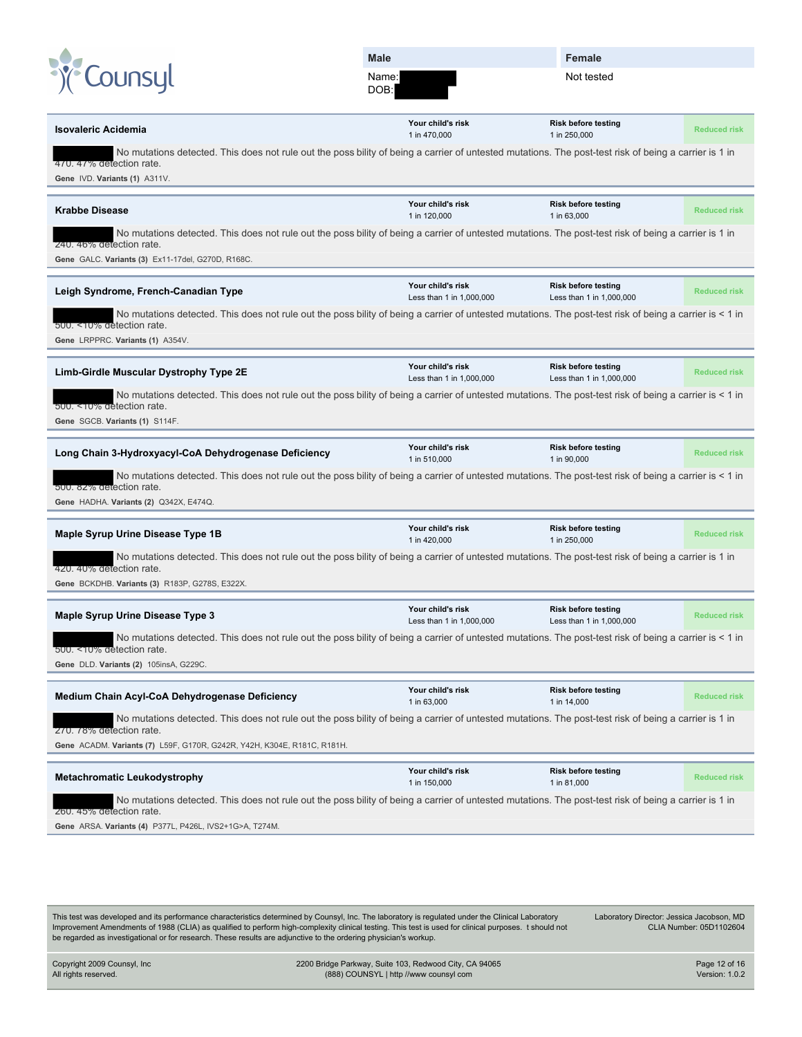|  | <sup>8</sup> <i>Counsyl</i> |
|--|-----------------------------|
|  |                             |

DOB:

**Female**

Not tested

| <b>Isovaleric Acidemia</b>                                                                                                                                                                                                                   | Your child's risk<br>1 in 470,000             | <b>Risk before testing</b><br>1 in 250,000             | <b>Reduced risk</b> |
|----------------------------------------------------------------------------------------------------------------------------------------------------------------------------------------------------------------------------------------------|-----------------------------------------------|--------------------------------------------------------|---------------------|
| No mutations detected. This does not rule out the poss bility of being a carrier of untested mutations. The post-test risk of being a carrier is 1 in<br>470.47% detection rate.                                                             |                                               |                                                        |                     |
| Gene IVD. Variants (1) A311V.                                                                                                                                                                                                                |                                               |                                                        |                     |
|                                                                                                                                                                                                                                              |                                               |                                                        |                     |
| <b>Krabbe Disease</b>                                                                                                                                                                                                                        | Your child's risk<br>1 in 120,000             | <b>Risk before testing</b><br>1 in 63,000              | <b>Reduced risk</b> |
| No mutations detected. This does not rule out the poss bility of being a carrier of untested mutations. The post-test risk of being a carrier is 1 in<br>240. 46% detection rate.                                                            |                                               |                                                        |                     |
| Gene GALC. Variants (3) Ex11-17del, G270D, R168C.                                                                                                                                                                                            |                                               |                                                        |                     |
|                                                                                                                                                                                                                                              |                                               |                                                        |                     |
| Leigh Syndrome, French-Canadian Type                                                                                                                                                                                                         | Your child's risk<br>Less than 1 in 1,000,000 | <b>Risk before testing</b><br>Less than 1 in 1,000,000 | <b>Reduced risk</b> |
| No mutations detected. This does not rule out the poss bility of being a carrier of untested mutations. The post-test risk of being a carrier is < 1 in<br>500. <10% detection rate.                                                         |                                               |                                                        |                     |
| Gene LRPPRC. Variants (1) A354V.                                                                                                                                                                                                             |                                               |                                                        |                     |
| Limb-Girdle Muscular Dystrophy Type 2E                                                                                                                                                                                                       | Your child's risk<br>Less than 1 in 1,000,000 | <b>Risk before testing</b><br>Less than 1 in 1,000,000 | <b>Reduced risk</b> |
| No mutations detected. This does not rule out the poss bility of being a carrier of untested mutations. The post-test risk of being a carrier is < 1 in<br>500. < 10% detection rate.                                                        |                                               |                                                        |                     |
| Gene SGCB. Variants (1) S114F.                                                                                                                                                                                                               |                                               |                                                        |                     |
| Long Chain 3-Hydroxyacyl-CoA Dehydrogenase Deficiency                                                                                                                                                                                        | Your child's risk<br>1 in 510,000             | <b>Risk before testing</b><br>1 in 90,000              | <b>Reduced risk</b> |
| No mutations detected. This does not rule out the poss bility of being a carrier of untested mutations. The post-test risk of being a carrier is < 1 in<br>500. 82% detection rate.                                                          |                                               |                                                        |                     |
| Gene HADHA. Variants (2) Q342X, E474Q.                                                                                                                                                                                                       |                                               |                                                        |                     |
|                                                                                                                                                                                                                                              |                                               |                                                        |                     |
| Maple Syrup Urine Disease Type 1B                                                                                                                                                                                                            | Your child's risk<br>1 in 420,000             | <b>Risk before testing</b><br>1 in 250,000             | <b>Reduced risk</b> |
| No mutations detected. This does not rule out the poss bility of being a carrier of untested mutations. The post-test risk of being a carrier is 1 in<br>420. 40% detection rate.                                                            |                                               |                                                        |                     |
| Gene BCKDHB. Variants (3) R183P, G278S, E322X.                                                                                                                                                                                               |                                               |                                                        |                     |
|                                                                                                                                                                                                                                              |                                               |                                                        |                     |
| Maple Syrup Urine Disease Type 3                                                                                                                                                                                                             | Your child's risk<br>Less than 1 in 1,000,000 | <b>Risk before testing</b><br>Less than 1 in 1,000,000 |                     |
|                                                                                                                                                                                                                                              |                                               |                                                        | <b>Reduced risk</b> |
| No mutations detected. This does not rule out the poss bility of being a carrier of untested mutations. The post-test risk of being a carrier is < 1 in                                                                                      |                                               |                                                        |                     |
| 500. < T0% detection rate.<br>Gene DLD. Variants (2) 105insA, G229C.                                                                                                                                                                         |                                               |                                                        |                     |
|                                                                                                                                                                                                                                              |                                               |                                                        |                     |
| Medium Chain Acyl-CoA Dehydrogenase Deficiency                                                                                                                                                                                               | Your child's risk<br>1 in 63,000              | <b>Risk before testing</b><br>1 in 14,000              | <b>Reduced risk</b> |
| No mutations detected. This does not rule out the poss bility of being a carrier of untested mutations. The post-test risk of being a carrier is 1 in<br>270. 78% detection rate.                                                            |                                               |                                                        |                     |
| Gene ACADM. Variants (7) L59F, G170R, G242R, Y42H, K304E, R181C, R181H.                                                                                                                                                                      |                                               |                                                        |                     |
|                                                                                                                                                                                                                                              | Your child's risk                             | <b>Risk before testing</b>                             |                     |
| <b>Metachromatic Leukodystrophy</b>                                                                                                                                                                                                          | 1 in 150,000                                  | 1 in 81,000                                            | <b>Reduced risk</b> |
| No mutations detected. This does not rule out the poss bility of being a carrier of untested mutations. The post-test risk of being a carrier is 1 in<br>260. 45% detection rate.<br>Gene ARSA. Variants (4) P377L, P426L, IVS2+1G>A, T274M. |                                               |                                                        |                     |

This test was developed and its performance characteristics determined by Counsyl, Inc. The laboratory is regulated under the Clinical Laboratory Improvement Amendments of 1988 (CLIA) as qualified to perform high-complexity clinical testing. This test is used for clinical purposes. t should not be regarded as investigational or for research. These results are adjunctive to the ordering physician's workup.

Laboratory Director: Jessica Jacobson, MD CLIA Number: 05D1102604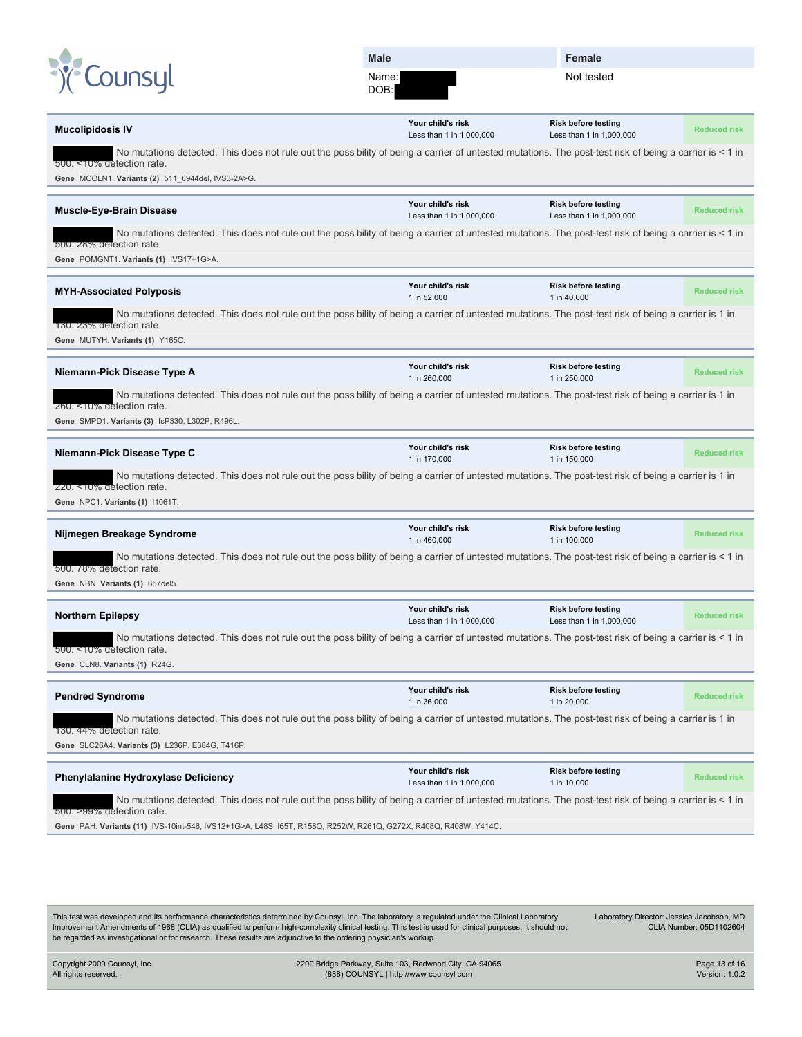| <sup>o</sup> Counsyl |  |
|----------------------|--|
|                      |  |

DOB:

**Female**

Not tested

| <b>Mucolipidosis IV</b>                                                                                                                                                                                                       | Your child's risk<br>Less than 1 in 1,000,000 | <b>Risk before testing</b><br>Less than 1 in 1,000,000 | <b>Reduced risk</b> |
|-------------------------------------------------------------------------------------------------------------------------------------------------------------------------------------------------------------------------------|-----------------------------------------------|--------------------------------------------------------|---------------------|
| No mutations detected. This does not rule out the poss bility of being a carrier of untested mutations. The post-test risk of being a carrier is < 1 in<br>500. <10% detection rate.                                          |                                               |                                                        |                     |
| Gene MCOLN1. Variants (2) 511 6944del, IVS3-2A>G.                                                                                                                                                                             |                                               |                                                        |                     |
| <b>Muscle-Eye-Brain Disease</b>                                                                                                                                                                                               | Your child's risk<br>Less than 1 in 1,000,000 | <b>Risk before testing</b><br>Less than 1 in 1,000,000 | <b>Reduced risk</b> |
| No mutations detected. This does not rule out the poss bility of being a carrier of untested mutations. The post-test risk of being a carrier is < 1 in<br>500, 28% detection rate.<br>Gene POMGNT1. Variants (1) IVS17+1G>A. |                                               |                                                        |                     |
| <b>MYH-Associated Polyposis</b>                                                                                                                                                                                               | Your child's risk<br>1 in 52,000              | <b>Risk before testing</b><br>1 in 40,000              | <b>Reduced risk</b> |
| No mutations detected. This does not rule out the poss bility of being a carrier of untested mutations. The post-test risk of being a carrier is 1 in<br>130. 23% detection rate.                                             |                                               |                                                        |                     |
| Gene MUTYH. Variants (1) Y165C.                                                                                                                                                                                               |                                               |                                                        |                     |
| Niemann-Pick Disease Type A                                                                                                                                                                                                   | Your child's risk<br>1 in 260,000             | <b>Risk before testing</b><br>1 in 250,000             | <b>Reduced risk</b> |
| No mutations detected. This does not rule out the poss bility of being a carrier of untested mutations. The post-test risk of being a carrier is 1 in<br>260. <10% detection rate.                                            |                                               |                                                        |                     |
| Gene SMPD1. Variants (3) fsP330, L302P, R496L.                                                                                                                                                                                |                                               |                                                        |                     |
| Niemann-Pick Disease Type C                                                                                                                                                                                                   | Your child's risk<br>1 in 170,000             | <b>Risk before testing</b><br>1 in 150,000             | <b>Reduced risk</b> |
| No mutations detected. This does not rule out the poss bility of being a carrier of untested mutations. The post-test risk of being a carrier is 1 in<br>220. <10% detection rate.                                            |                                               |                                                        |                     |
| Gene NPC1. Variants (1) 11061T.                                                                                                                                                                                               |                                               |                                                        |                     |
| Nijmegen Breakage Syndrome                                                                                                                                                                                                    | Your child's risk<br>1 in 460,000             | <b>Risk before testing</b><br>1 in 100,000             | <b>Reduced risk</b> |
| No mutations detected. This does not rule out the poss bility of being a carrier of untested mutations. The post-test risk of being a carrier is < 1 in<br>500. 78% detection rate.                                           |                                               |                                                        |                     |
| Gene NBN. Variants (1) 657 del 5.                                                                                                                                                                                             |                                               |                                                        |                     |
| <b>Northern Epilepsy</b>                                                                                                                                                                                                      | Your child's risk<br>Less than 1 in 1,000,000 | <b>Risk before testing</b><br>Less than 1 in 1,000,000 | <b>Reduced risk</b> |
| No mutations detected. This does not rule out the poss bility of being a carrier of untested mutations. The post-test risk of being a carrier is < 1 in                                                                       |                                               |                                                        |                     |
| 500. <10% detection rate.<br>Gene CLN8. Variants (1) R24G.                                                                                                                                                                    |                                               |                                                        |                     |
| <b>Pendred Syndrome</b>                                                                                                                                                                                                       | Your child's risk<br>1 in 36,000              | Risk before testing<br>1 in 20,000                     | <b>Reduced risk</b> |
| No mutations detected. This does not rule out the poss bility of being a carrier of untested mutations. The post-test risk of being a carrier is 1 in<br>130, 44% detection rate.                                             |                                               |                                                        |                     |
| Gene SLC26A4. Variants (3) L236P, E384G, T416P.                                                                                                                                                                               |                                               |                                                        |                     |
| Phenylalanine Hydroxylase Deficiency                                                                                                                                                                                          | Your child's risk<br>Less than 1 in 1,000,000 | <b>Risk before testing</b><br>1 in 10,000              | <b>Reduced risk</b> |
| No mutations detected. This does not rule out the poss bility of being a carrier of untested mutations. The post-test risk of being a carrier is < 1 in<br>500. >99% detection rate.                                          |                                               |                                                        |                     |
| Gene PAH. Variants (11) IVS-10int-546, IVS12+1G>A, L48S, I65T, R158Q, R252W, R261Q, G272X, R408Q, R408W, Y414C.                                                                                                               |                                               |                                                        |                     |
|                                                                                                                                                                                                                               |                                               |                                                        |                     |

This test was developed and its performance characteristics determined by Counsyl, Inc. The laboratory is regulated under the Clinical Laboratory Improvement Amendments of 1988 (CLIA) as qualified to perform high-complexity clinical testing. This test is used for clinical purposes. t should not be regarded as investigational or for research. These results are adjunctive to the ordering physician's workup.

Laboratory Director: Jessica Jacobson, MD CLIA Number: 05D1102604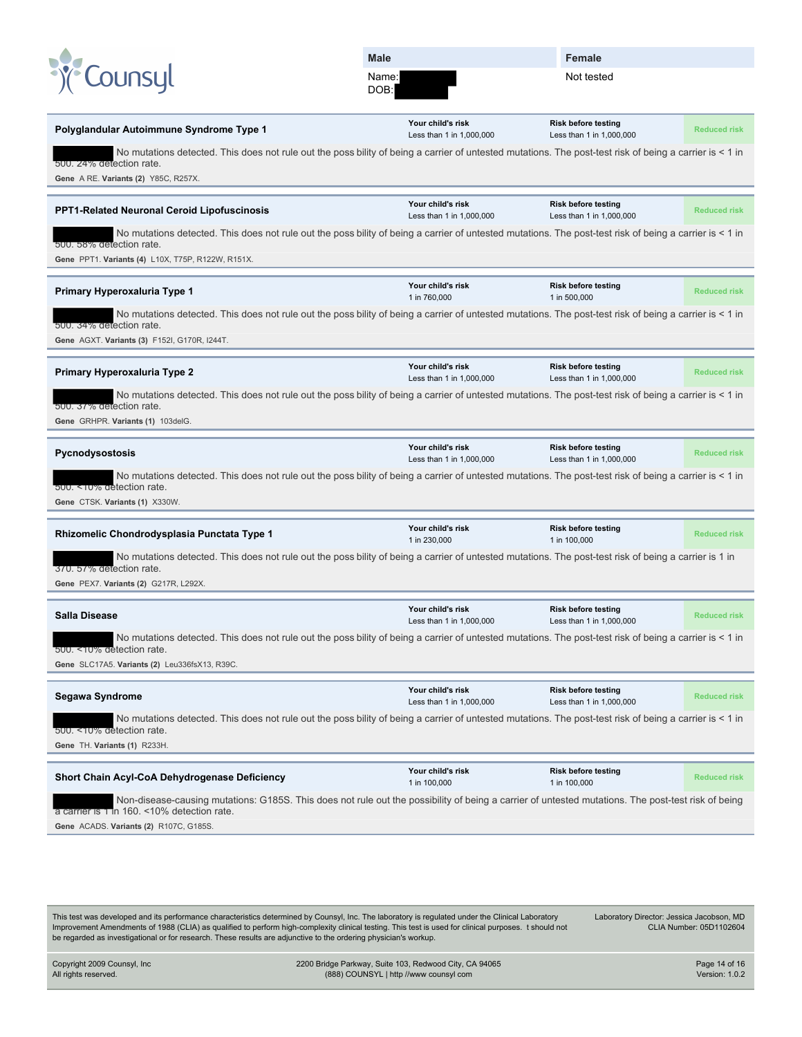|                                                                                                                                                                                                                                             | Male                                          | Female                                                 |                     |
|---------------------------------------------------------------------------------------------------------------------------------------------------------------------------------------------------------------------------------------------|-----------------------------------------------|--------------------------------------------------------|---------------------|
| Counsyl                                                                                                                                                                                                                                     | Name:<br>DOB:                                 | Not tested                                             |                     |
| Polyglandular Autoimmune Syndrome Type 1                                                                                                                                                                                                    | Your child's risk<br>Less than 1 in 1,000,000 | <b>Risk before testing</b><br>Less than 1 in 1,000,000 | <b>Reduced risk</b> |
| No mutations detected. This does not rule out the poss bility of being a carrier of untested mutations. The post-test risk of being a carrier is < 1 in<br>500. 24% detection rate.<br>Gene A RE. Variants (2) Y85C, R257X.                 |                                               |                                                        |                     |
| <b>PPT1-Related Neuronal Ceroid Lipofuscinosis</b>                                                                                                                                                                                          | Your child's risk<br>Less than 1 in 1,000,000 | <b>Risk before testing</b><br>Less than 1 in 1,000,000 | <b>Reduced risk</b> |
| No mutations detected. This does not rule out the poss bility of being a carrier of untested mutations. The post-test risk of being a carrier is < 1 in<br>500. 58% detection rate.<br>Gene PPT1. Variants (4) L10X, T75P, R122W, R151X.    |                                               |                                                        |                     |
| Primary Hyperoxaluria Type 1                                                                                                                                                                                                                | Your child's risk<br>1 in 760,000             | <b>Risk before testing</b><br>1 in 500,000             | <b>Reduced risk</b> |
| No mutations detected. This does not rule out the poss bility of being a carrier of untested mutations. The post-test risk of being a carrier is < 1 in<br>500, 34% detection rate.<br>Gene AGXT. Variants (3) F152I, G170R, I244T.         |                                               |                                                        |                     |
| Primary Hyperoxaluria Type 2                                                                                                                                                                                                                | Your child's risk<br>Less than 1 in 1,000,000 | <b>Risk before testing</b><br>Less than 1 in 1,000,000 | <b>Reduced risk</b> |
| No mutations detected. This does not rule out the poss bility of being a carrier of untested mutations. The post-test risk of being a carrier is < 1 in<br>500, 37% detection rate.<br>Gene GRHPR. Variants (1) 103delG.                    |                                               |                                                        |                     |
| Pycnodysostosis                                                                                                                                                                                                                             | Your child's risk<br>Less than 1 in 1,000,000 | <b>Risk before testing</b><br>Less than 1 in 1,000,000 | <b>Reduced risk</b> |
| No mutations detected. This does not rule out the poss bility of being a carrier of untested mutations. The post-test risk of being a carrier is < 1 in<br>500. < 10% detection rate.<br>Gene CTSK. Variants (1) X330W.                     |                                               |                                                        |                     |
| Rhizomelic Chondrodysplasia Punctata Type 1                                                                                                                                                                                                 | Your child's risk<br>1 in 230,000             | <b>Risk before testing</b><br>1 in 100,000             | <b>Reduced risk</b> |
| No mutations detected. This does not rule out the poss bility of being a carrier of untested mutations. The post-test risk of being a carrier is 1 in<br>370. 57% detection rate.<br>Gene PEX7. Variants (2) G217R, L292X.                  |                                               |                                                        |                     |
| Salla Disease                                                                                                                                                                                                                               | Your child's risk<br>Less than 1 in 1,000,000 | <b>Risk before testing</b><br>Less than 1 in 1,000,000 | <b>Reduced risk</b> |
| No mutations detected. This does not rule out the poss bility of being a carrier of untested mutations. The post-test risk of being a carrier is < 1 in<br>500. <10% detection rate.                                                        |                                               |                                                        |                     |
| Gene SLC17A5. Variants (2) Leu336fsX13, R39C.                                                                                                                                                                                               |                                               |                                                        |                     |
| Segawa Syndrome                                                                                                                                                                                                                             | Your child's risk<br>Less than 1 in 1,000,000 | Risk before testing<br>Less than 1 in 1,000,000        | <b>Reduced risk</b> |
| No mutations detected. This does not rule out the poss bility of being a carrier of untested mutations. The post-test risk of being a carrier is < 1 in<br>500. <10% detection rate.<br>Gene TH. Variants (1) R233H.                        |                                               |                                                        |                     |
| Short Chain Acyl-CoA Dehydrogenase Deficiency                                                                                                                                                                                               | Your child's risk<br>1 in 100,000             | <b>Risk before testing</b><br>1 in 100,000             | <b>Reduced risk</b> |
| Non-disease-causing mutations: G185S. This does not rule out the possibility of being a carrier of untested mutations. The post-test risk of being<br>a carrier is 1 in 160. <10% detection rate.<br>Gene ACADS. Variants (2) R107C, G185S. |                                               |                                                        |                     |
|                                                                                                                                                                                                                                             |                                               |                                                        |                     |

This test was developed and its performance characteristics determined by Counsyl, Inc. The laboratory is regulated under the Clinical Laboratory Improvement Amendments of 1988 (CLIA) as qualified to perform high-complexity clinical testing. This test is used for clinical purposes. t should not be regarded as investigational or for research. These results are adjunctive to the ordering physician's workup.

Laboratory Director: Jessica Jacobson, MD CLIA Number: 05D1102604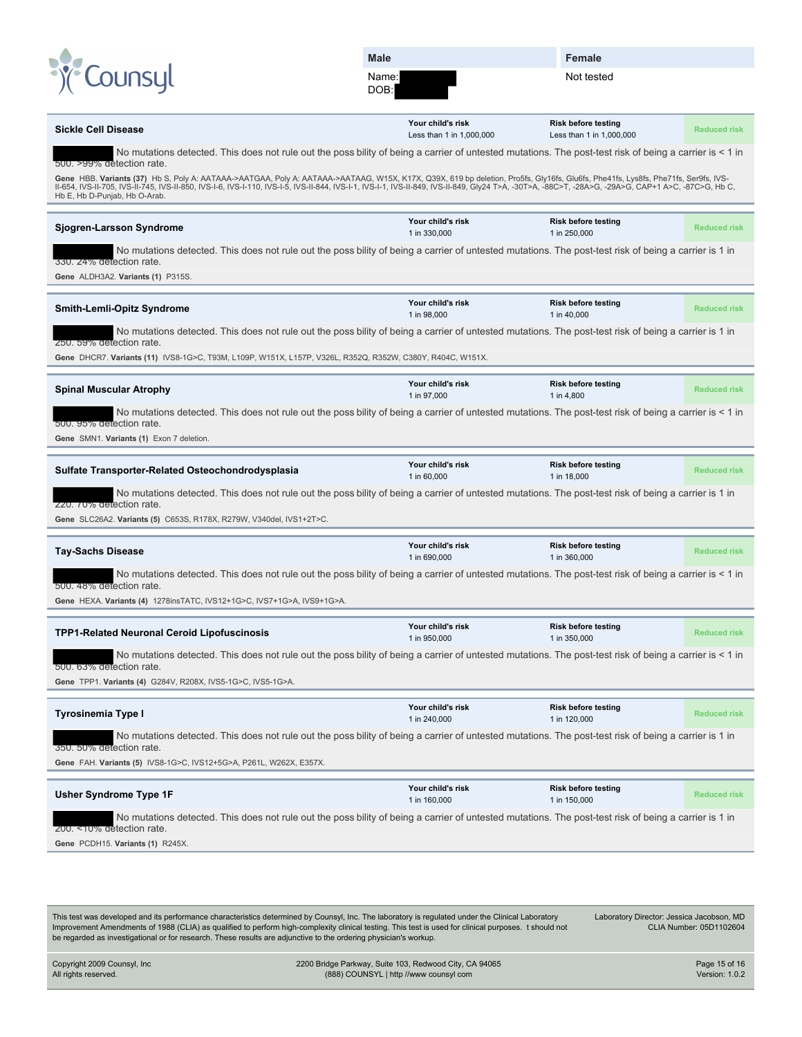DOB:

**Female**

Not tested

|                                                                                                                                                                                                                                                                                                                                                                                                                     | Your child's risk                 | <b>Risk before testing</b>                 |                     |
|---------------------------------------------------------------------------------------------------------------------------------------------------------------------------------------------------------------------------------------------------------------------------------------------------------------------------------------------------------------------------------------------------------------------|-----------------------------------|--------------------------------------------|---------------------|
| <b>Sickle Cell Disease</b>                                                                                                                                                                                                                                                                                                                                                                                          | Less than 1 in 1,000,000          | Less than 1 in 1,000,000                   | <b>Reduced risk</b> |
| No mutations detected. This does not rule out the poss bility of being a carrier of untested mutations. The post-test risk of being a carrier is < 1 in<br>500. >99% detection rate.                                                                                                                                                                                                                                |                                   |                                            |                     |
| Gene HBB. Variants (37) Hb S, Poly A: AATAAA->AATGAA, Poly A: AATAAA->AATAAG, W15X, K17X, Q39X, 619 bp deletion, Pro5fs, Gly16fs, Glu6fs, Phe41fs, Lys8fs, Phe71fs, Ser9fs, IVS-<br>II-654, IVS-II-705, IVS-II-745, IVS-II-850, IVS-I-6, IVS-I-110, IVS-I-5, IVS-I-844, IVS-I-1, IVS-I-1, IVS-I-4, IVS-II-849, Gly24 T>A, -30T>A, -88C>T, -28A>G, -29A>G, CAP+1 A>C, -87C>G, Hb C,<br>Hb E, Hb D-Punjab, Hb O-Arab. |                                   |                                            |                     |
| Sjogren-Larsson Syndrome                                                                                                                                                                                                                                                                                                                                                                                            | Your child's risk<br>1 in 330,000 | <b>Risk before testing</b><br>1 in 250,000 | <b>Reduced risk</b> |
| No mutations detected. This does not rule out the poss bility of being a carrier of untested mutations. The post-test risk of being a carrier is 1 in<br>330. 24% detection rate.<br>Gene ALDH3A2. Variants (1) P315S.                                                                                                                                                                                              |                                   |                                            |                     |
|                                                                                                                                                                                                                                                                                                                                                                                                                     | Your child's risk                 | <b>Risk before testing</b>                 |                     |
| Smith-Lemli-Opitz Syndrome                                                                                                                                                                                                                                                                                                                                                                                          | 1 in 98,000                       | 1 in 40,000                                | <b>Reduced risk</b> |
| No mutations detected. This does not rule out the poss bility of being a carrier of untested mutations. The post-test risk of being a carrier is 1 in<br>250. 59% detection rate.                                                                                                                                                                                                                                   |                                   |                                            |                     |
| Gene DHCR7. Variants (11) IVS8-1G>C, T93M, L109P, W151X, L157P, V326L, R352Q, R352W, C380Y, R404C, W151X.                                                                                                                                                                                                                                                                                                           |                                   |                                            |                     |
| <b>Spinal Muscular Atrophy</b>                                                                                                                                                                                                                                                                                                                                                                                      | Your child's risk<br>1 in 97,000  | <b>Risk before testing</b><br>1 in 4,800   | <b>Reduced risk</b> |
| No mutations detected. This does not rule out the poss bility of being a carrier of untested mutations. The post-test risk of being a carrier is < 1 in<br>500. 95% detection rate.                                                                                                                                                                                                                                 |                                   |                                            |                     |
| Gene SMN1. Variants (1) Exon 7 deletion.                                                                                                                                                                                                                                                                                                                                                                            |                                   |                                            |                     |
|                                                                                                                                                                                                                                                                                                                                                                                                                     | Your child's risk                 | <b>Risk before testing</b>                 |                     |
| Sulfate Transporter-Related Osteochondrodysplasia                                                                                                                                                                                                                                                                                                                                                                   | 1 in 60,000                       | 1 in 18,000                                | <b>Reduced risk</b> |
| No mutations detected. This does not rule out the poss bility of being a carrier of untested mutations. The post-test risk of being a carrier is 1 in<br>220. 70% detection rate.                                                                                                                                                                                                                                   |                                   |                                            |                     |
| Gene SLC26A2. Variants (5) C653S, R178X, R279W, V340del, IVS1+2T>C.                                                                                                                                                                                                                                                                                                                                                 |                                   |                                            |                     |
| <b>Tay-Sachs Disease</b>                                                                                                                                                                                                                                                                                                                                                                                            | Your child's risk<br>1 in 690,000 | <b>Risk before testing</b><br>1 in 360,000 | <b>Reduced risk</b> |
|                                                                                                                                                                                                                                                                                                                                                                                                                     |                                   |                                            |                     |
| No mutations detected. This does not rule out the poss bility of being a carrier of untested mutations. The post-test risk of being a carrier is < 1 in                                                                                                                                                                                                                                                             |                                   |                                            |                     |
| 500. 48% detection rate.<br>Gene HEXA. Variants (4) 1278insTATC, IVS12+1G>C, IVS7+1G>A, IVS9+1G>A.                                                                                                                                                                                                                                                                                                                  |                                   |                                            |                     |
| <b>TPP1-Related Neuronal Ceroid Lipofuscinosis</b>                                                                                                                                                                                                                                                                                                                                                                  | Your child's risk                 | <b>Risk before testing</b>                 | <b>Reduced risk</b> |
| No mutations detected. This does not rule out the poss bility of being a carrier of untested mutations. The post-test risk of being a carrier is < 1 in                                                                                                                                                                                                                                                             | 1 in 950,000                      | 1 in 350,000                               |                     |
| 500. 63% detection rate.                                                                                                                                                                                                                                                                                                                                                                                            |                                   |                                            |                     |
| Gene TPP1. Variants (4) G284V, R208X, IVS5-1G>C, IVS5-1G>A.                                                                                                                                                                                                                                                                                                                                                         |                                   |                                            |                     |
| <b>Tyrosinemia Type I</b>                                                                                                                                                                                                                                                                                                                                                                                           | Your child's risk<br>1 in 240,000 | <b>Risk before testing</b><br>1 in 120,000 | <b>Reduced risk</b> |
| No mutations detected. This does not rule out the poss bility of being a carrier of untested mutations. The post-test risk of being a carrier is 1 in<br>350, 50% detection rate.                                                                                                                                                                                                                                   |                                   |                                            |                     |
| Gene FAH. Variants (5) IVS8-1G>C, IVS12+5G>A, P261L, W262X, E357X.                                                                                                                                                                                                                                                                                                                                                  |                                   |                                            |                     |
| <b>Usher Syndrome Type 1F</b>                                                                                                                                                                                                                                                                                                                                                                                       | Your child's risk<br>1 in 160,000 | <b>Risk before testing</b><br>1 in 150,000 | <b>Reduced risk</b> |
| No mutations detected. This does not rule out the poss bility of being a carrier of untested mutations. The post-test risk of being a carrier is 1 in                                                                                                                                                                                                                                                               |                                   |                                            |                     |
| 200. <10% detection rate.<br>Gene PCDH15. Variants (1) R245X.                                                                                                                                                                                                                                                                                                                                                       |                                   |                                            |                     |
|                                                                                                                                                                                                                                                                                                                                                                                                                     |                                   |                                            |                     |
|                                                                                                                                                                                                                                                                                                                                                                                                                     |                                   |                                            |                     |

This test was developed and its performance characteristics determined by Counsyl, Inc. The laboratory is regulated under the Clinical Laboratory Improvement Amendments of 1988 (CLIA) as qualified to perform high-complexity clinical testing. This test is used for clinical purposes. t should not be regarded as investigational or for research. These results are adjunctive to the ordering physician's workup. Laboratory Director: Jessica Jacobson, MD CLIA Number: 05D1102604

Copyright 2009 Counsyl, Inc All rights reserved. 2200 Bridge Parkway, Suite 103, Redwood City, CA 94065 (888) COUNSYL | http //www counsyl com